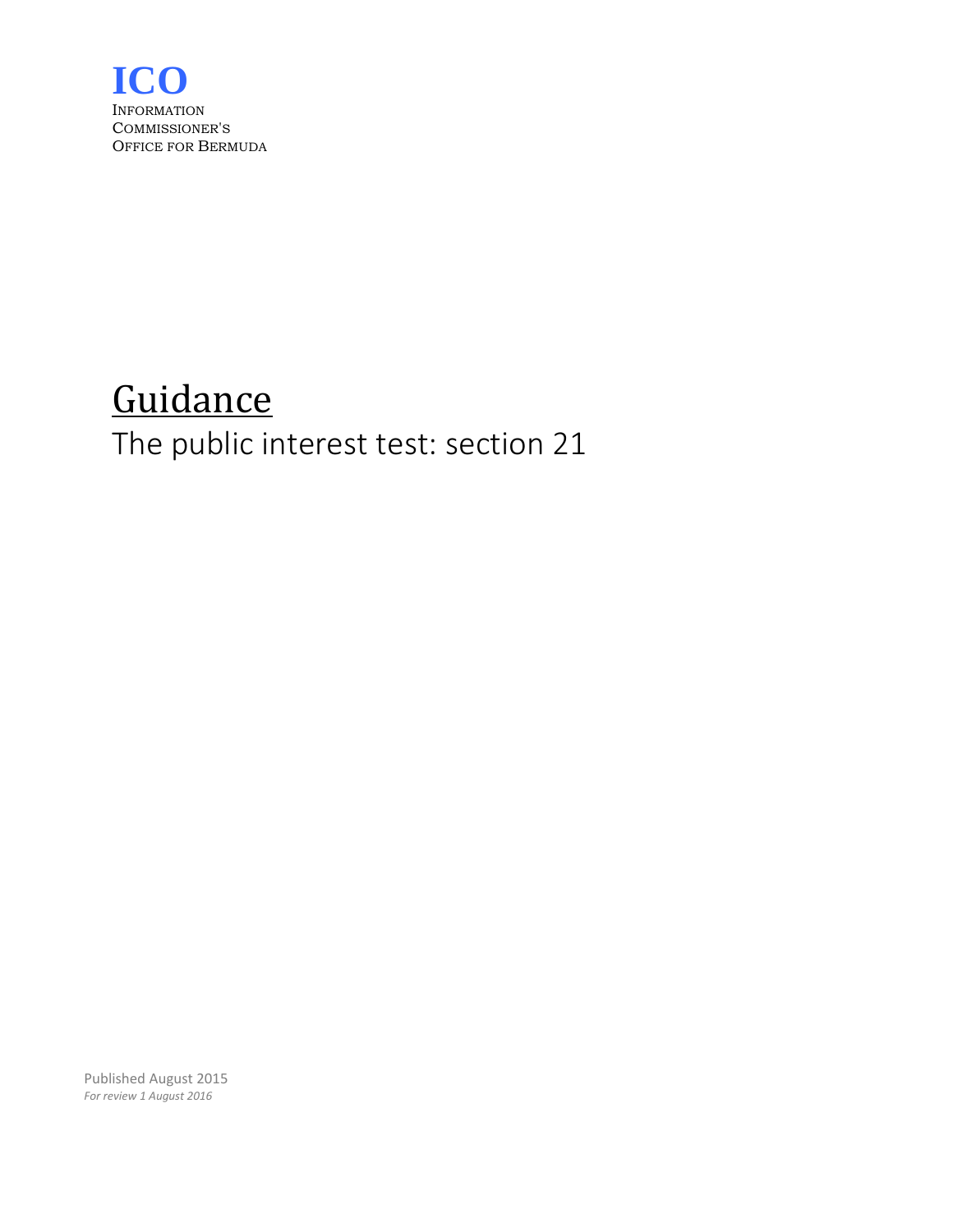

# **Guidance** The public interest test: section 21

Published August 2015 *For review 1 August 2016*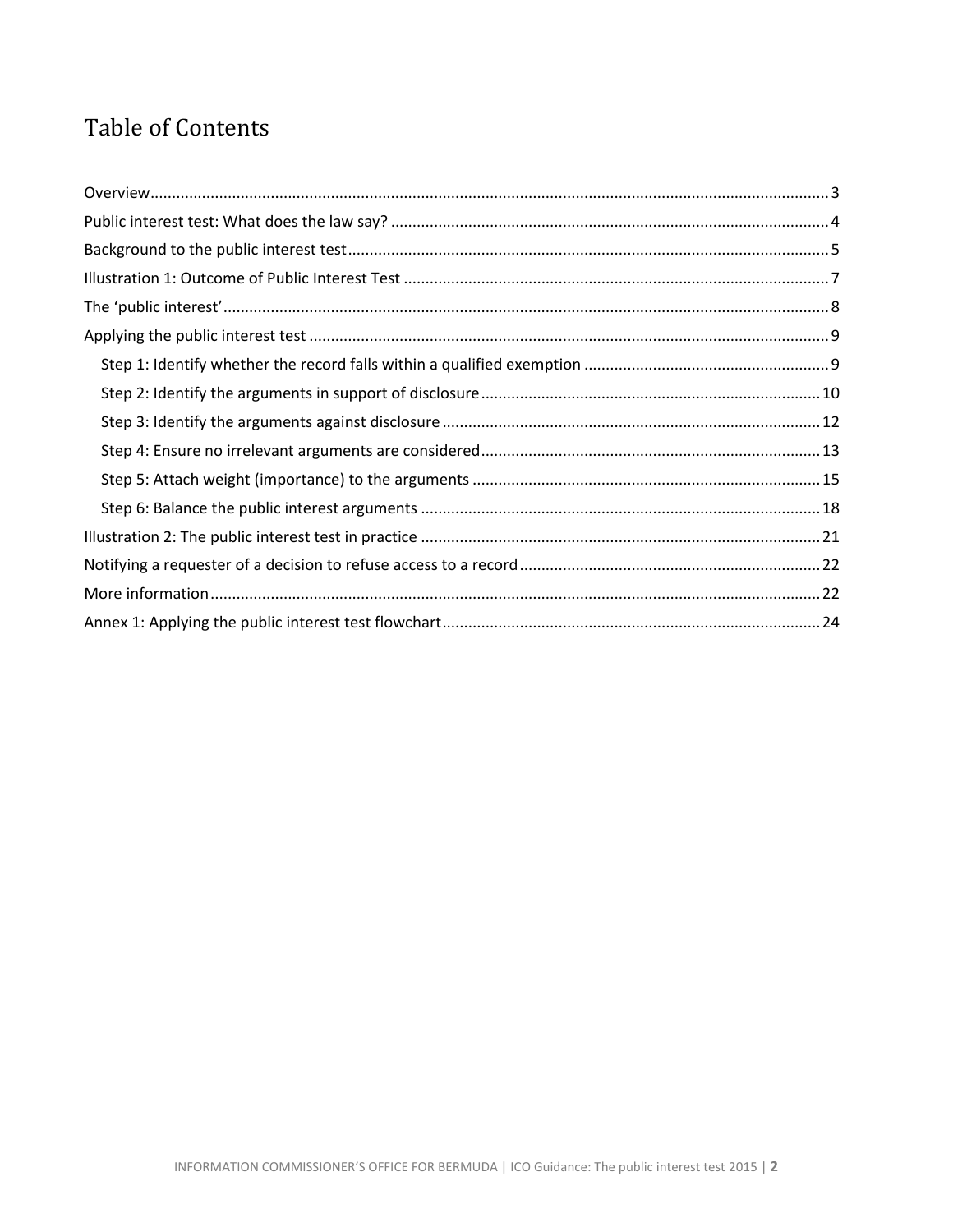# Table of Contents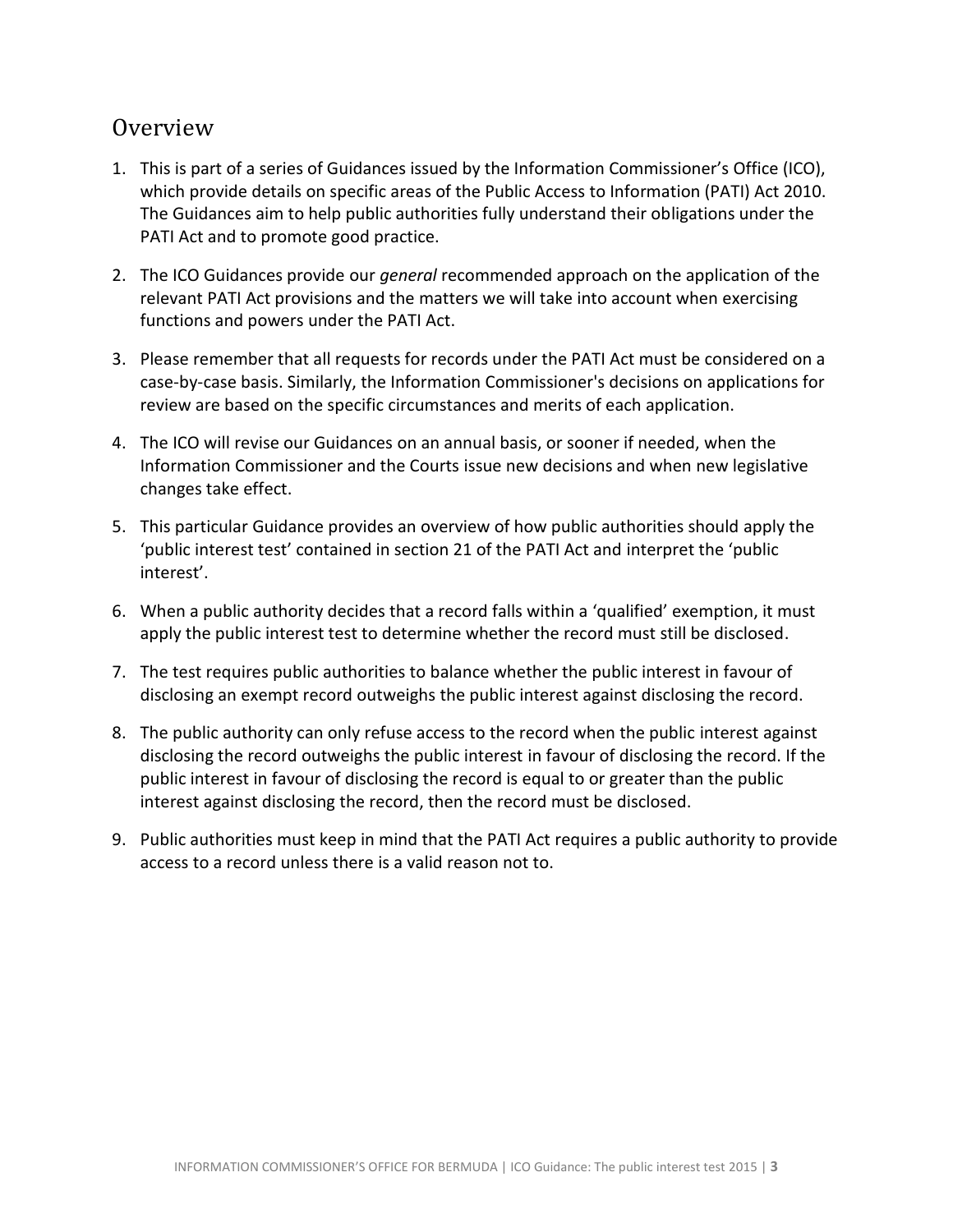### <span id="page-2-0"></span>Overview

- 1. This is part of a series of Guidances issued by the Information Commissioner's Office (ICO), which provide details on specific areas of the Public Access to Information (PATI) Act 2010. The Guidances aim to help public authorities fully understand their obligations under the PATI Act and to promote good practice.
- 2. The ICO Guidances provide our *general* recommended approach on the application of the relevant PATI Act provisions and the matters we will take into account when exercising functions and powers under the PATI Act.
- 3. Please remember that all requests for records under the PATI Act must be considered on a case-by-case basis. Similarly, the Information Commissioner's decisions on applications for review are based on the specific circumstances and merits of each application.
- 4. The ICO will revise our Guidances on an annual basis, or sooner if needed, when the Information Commissioner and the Courts issue new decisions and when new legislative changes take effect.
- 5. This particular Guidance provides an overview of how public authorities should apply the 'public interest test' contained in section 21 of the PATI Act and interpret the 'public interest'.
- 6. When a public authority decides that a record falls within a 'qualified' exemption, it must apply the public interest test to determine whether the record must still be disclosed.
- 7. The test requires public authorities to balance whether the public interest in favour of disclosing an exempt record outweighs the public interest against disclosing the record.
- 8. The public authority can only refuse access to the record when the public interest against disclosing the record outweighs the public interest in favour of disclosing the record. If the public interest in favour of disclosing the record is equal to or greater than the public interest against disclosing the record, then the record must be disclosed.
- 9. Public authorities must keep in mind that the PATI Act requires a public authority to provide access to a record unless there is a valid reason not to.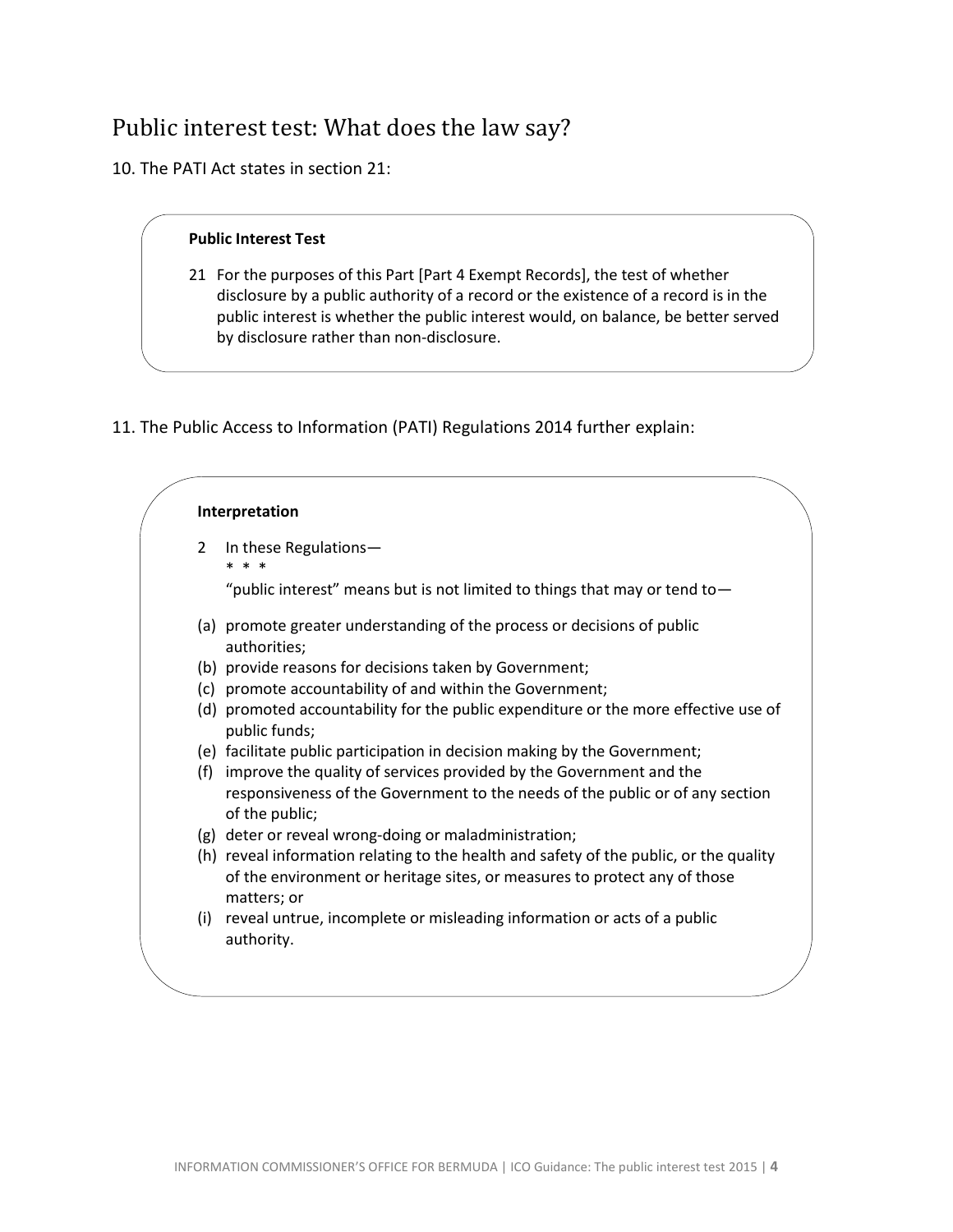# <span id="page-3-0"></span>Public interest test: What does the law say?

10. The PATI Act states in section 21:

#### **Public Interest Test**

- 21 For the purposes of this Part [Part 4 Exempt Records], the test of whether disclosure by a public authority of a record or the existence of a record is in the public interest is whether the public interest would, on balance, be better served by disclosure rather than non-disclosure.
- 11. The Public Access to Information (PATI) Regulations 2014 further explain:

|                | Interpretation                                                                                                                                                                     |
|----------------|------------------------------------------------------------------------------------------------------------------------------------------------------------------------------------|
| $\overline{2}$ | In these Regulations-                                                                                                                                                              |
|                | "public interest" means but is not limited to things that may or tend to $-$                                                                                                       |
|                | (a) promote greater understanding of the process or decisions of public<br>authorities;                                                                                            |
|                | (b) provide reasons for decisions taken by Government;                                                                                                                             |
|                | (c) promote accountability of and within the Government;                                                                                                                           |
|                | (d) promoted accountability for the public expenditure or the more effective use of<br>public funds;                                                                               |
|                | (e) facilitate public participation in decision making by the Government;                                                                                                          |
| (f)            | improve the quality of services provided by the Government and the                                                                                                                 |
|                | responsiveness of the Government to the needs of the public or of any section<br>of the public;                                                                                    |
|                | (g) deter or reveal wrong-doing or maladministration;                                                                                                                              |
|                | (h) reveal information relating to the health and safety of the public, or the quality<br>of the environment or heritage sites, or measures to protect any of those<br>matters; or |
|                | (i) reveal untrue, incomplete or misleading information or acts of a public<br>authority.                                                                                          |
|                |                                                                                                                                                                                    |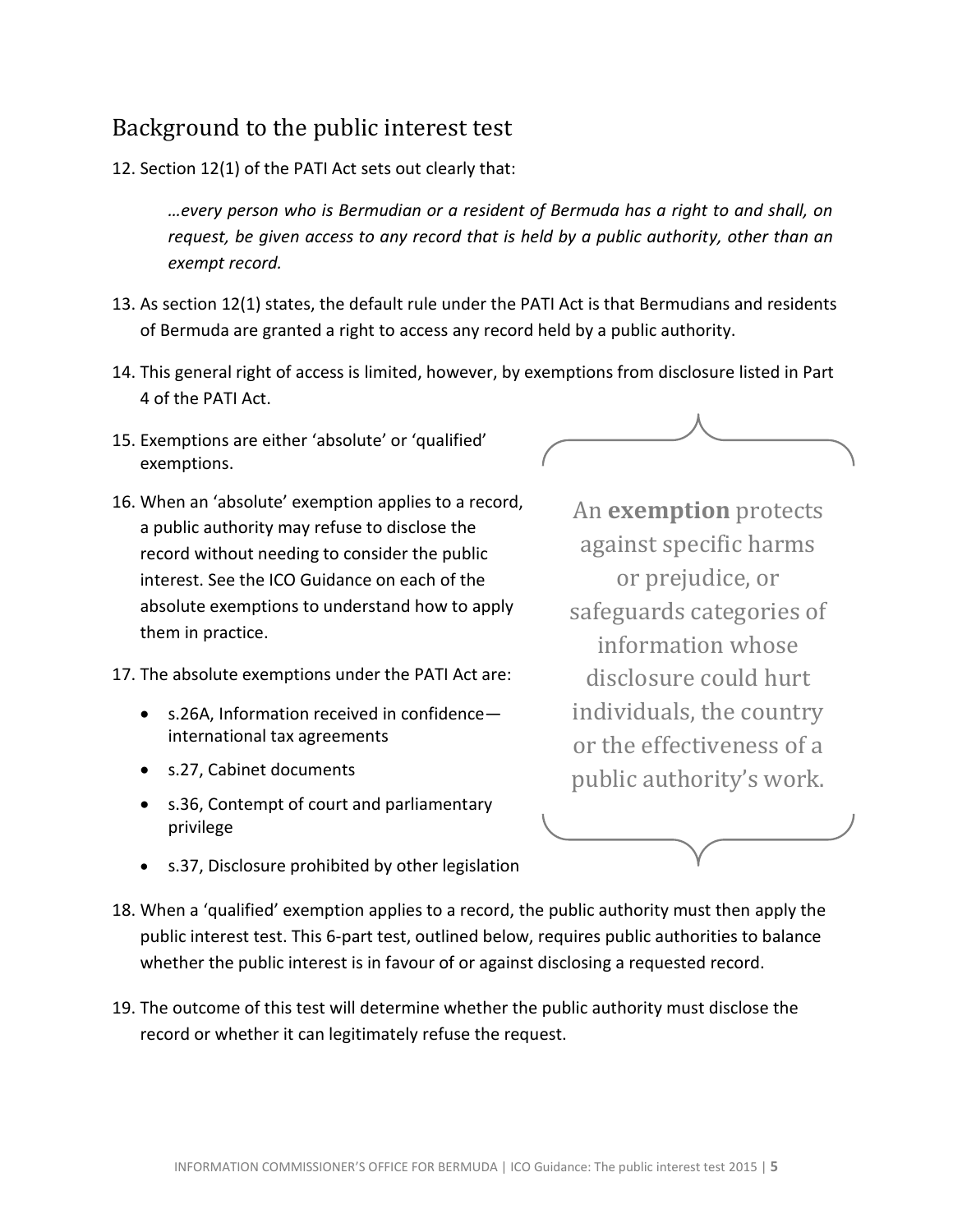### <span id="page-4-0"></span>Background to the public interest test

12. Section 12(1) of the PATI Act sets out clearly that:

*…every person who is Bermudian or a resident of Bermuda has a right to and shall, on request, be given access to any record that is held by a public authority, other than an exempt record.*

- 13. As section 12(1) states, the default rule under the PATI Act is that Bermudians and residents of Bermuda are granted a right to access any record held by a public authority.
- 14. This general right of access is limited, however, by exemptions from disclosure listed in Part 4 of the PATI Act.
- 15. Exemptions are either 'absolute' or 'qualified' exemptions.
- 16. When an 'absolute' exemption applies to a record, a public authority may refuse to disclose the record without needing to consider the public interest. See the ICO Guidance on each of the absolute exemptions to understand how to apply them in practice.
- 17. The absolute exemptions under the PATI Act are:
	- s.26A, Information received in confidence international tax agreements
	- s.27, Cabinet documents
	- s.36, Contempt of court and parliamentary privilege

An **exemption** protects against specific harms or prejudice, or safeguards categories of information whose disclosure could hurt individuals, the country or the effectiveness of a public authority's work.

- s.37, Disclosure prohibited by other legislation
- 18. When a 'qualified' exemption applies to a record, the public authority must then apply the public interest test. This 6-part test, outlined below, requires public authorities to balance whether the public interest is in favour of or against disclosing a requested record.
- 19. The outcome of this test will determine whether the public authority must disclose the record or whether it can legitimately refuse the request.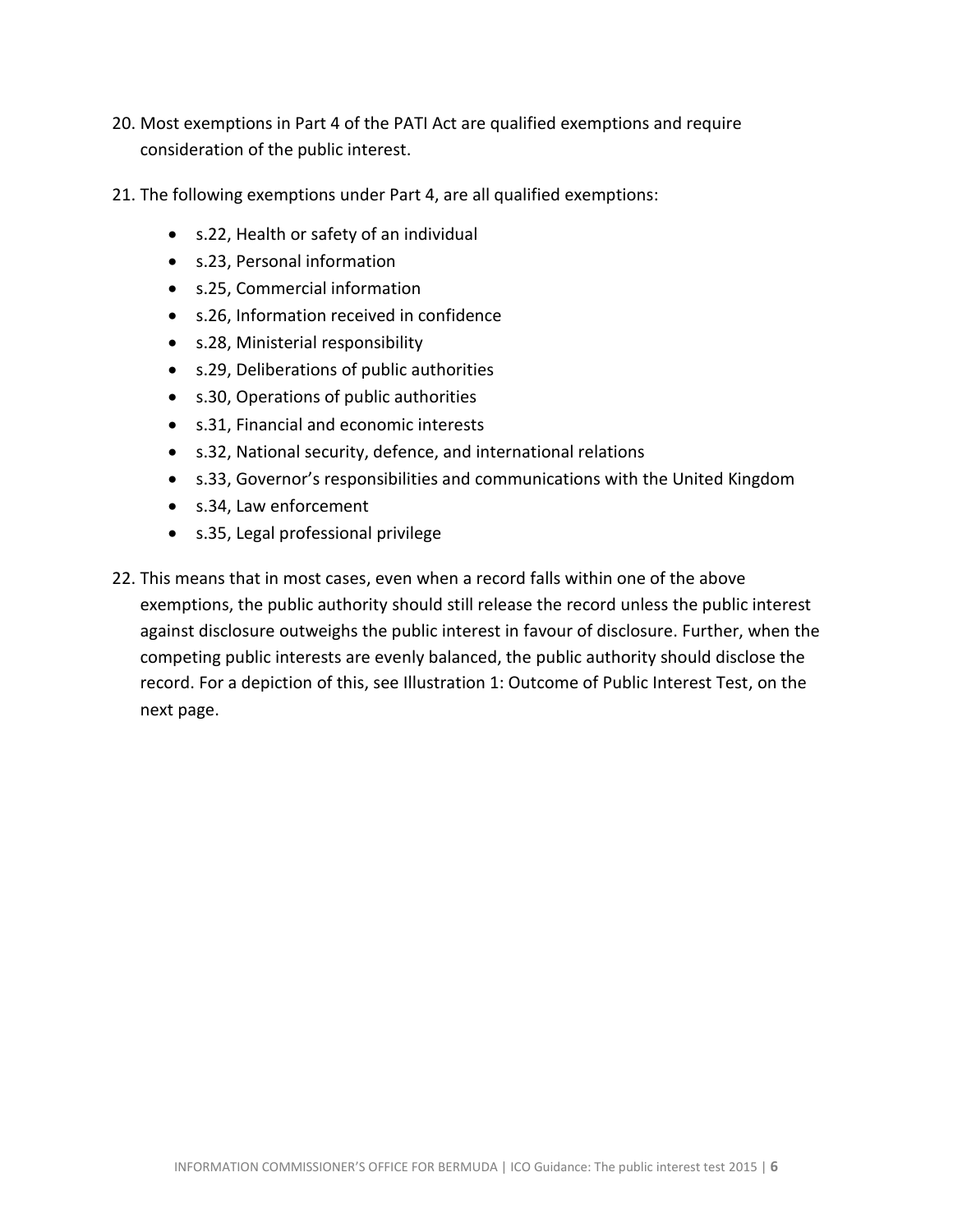- 20. Most exemptions in Part 4 of the PATI Act are qualified exemptions and require consideration of the public interest.
- 21. The following exemptions under Part 4, are all qualified exemptions:
	- s.22, Health or safety of an individual
	- s.23, Personal information
	- s.25, Commercial information
	- s.26, Information received in confidence
	- s.28, Ministerial responsibility
	- s.29, Deliberations of public authorities
	- s.30, Operations of public authorities
	- s.31, Financial and economic interests
	- s.32, National security, defence, and international relations
	- s.33, Governor's responsibilities and communications with the United Kingdom
	- s.34, Law enforcement
	- s.35, Legal professional privilege
- 22. This means that in most cases, even when a record falls within one of the above exemptions, the public authority should still release the record unless the public interest against disclosure outweighs the public interest in favour of disclosure. Further, when the competing public interests are evenly balanced, the public authority should disclose the record. For a depiction of this, see Illustration 1: Outcome of Public Interest Test, on the next page.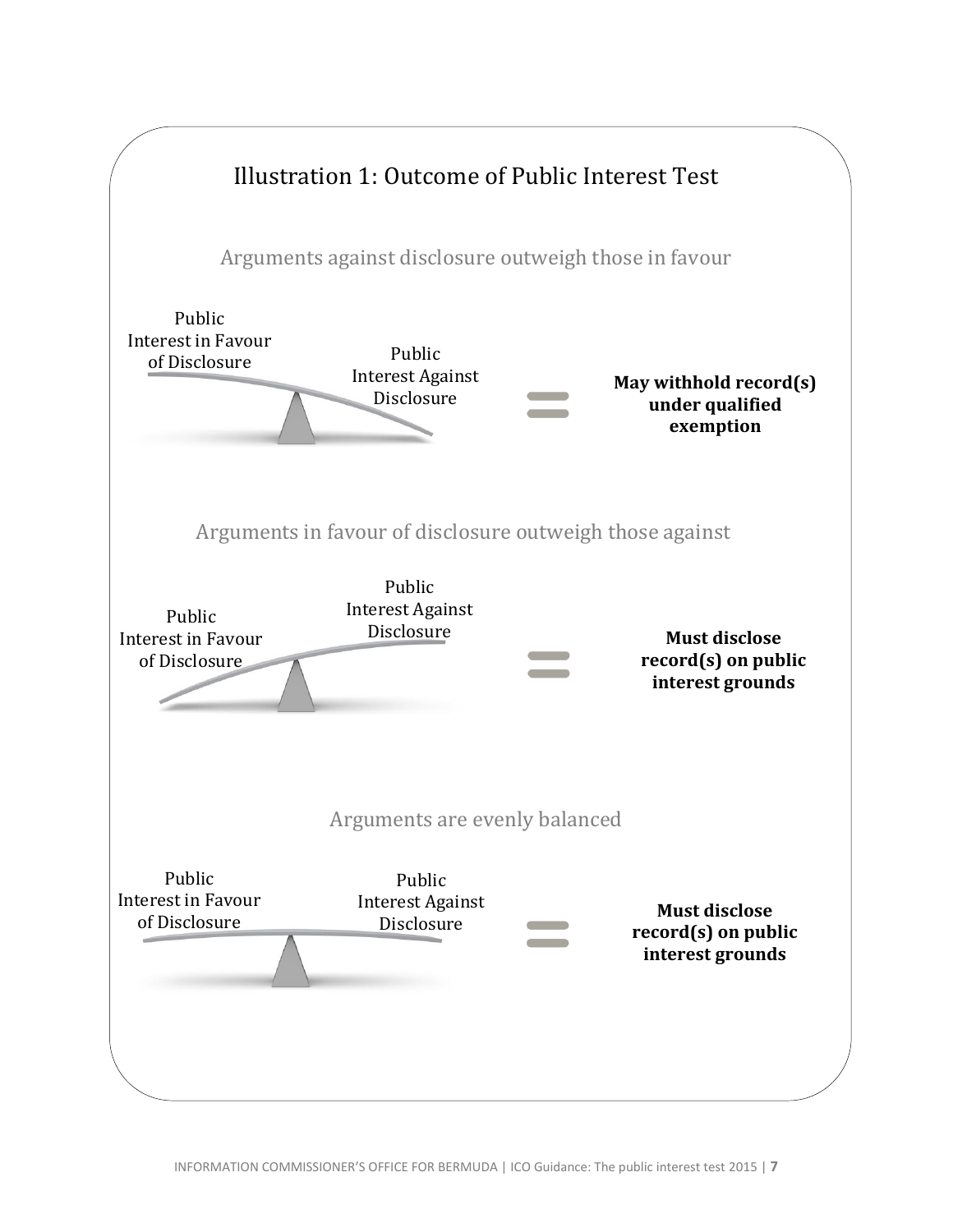<span id="page-6-0"></span>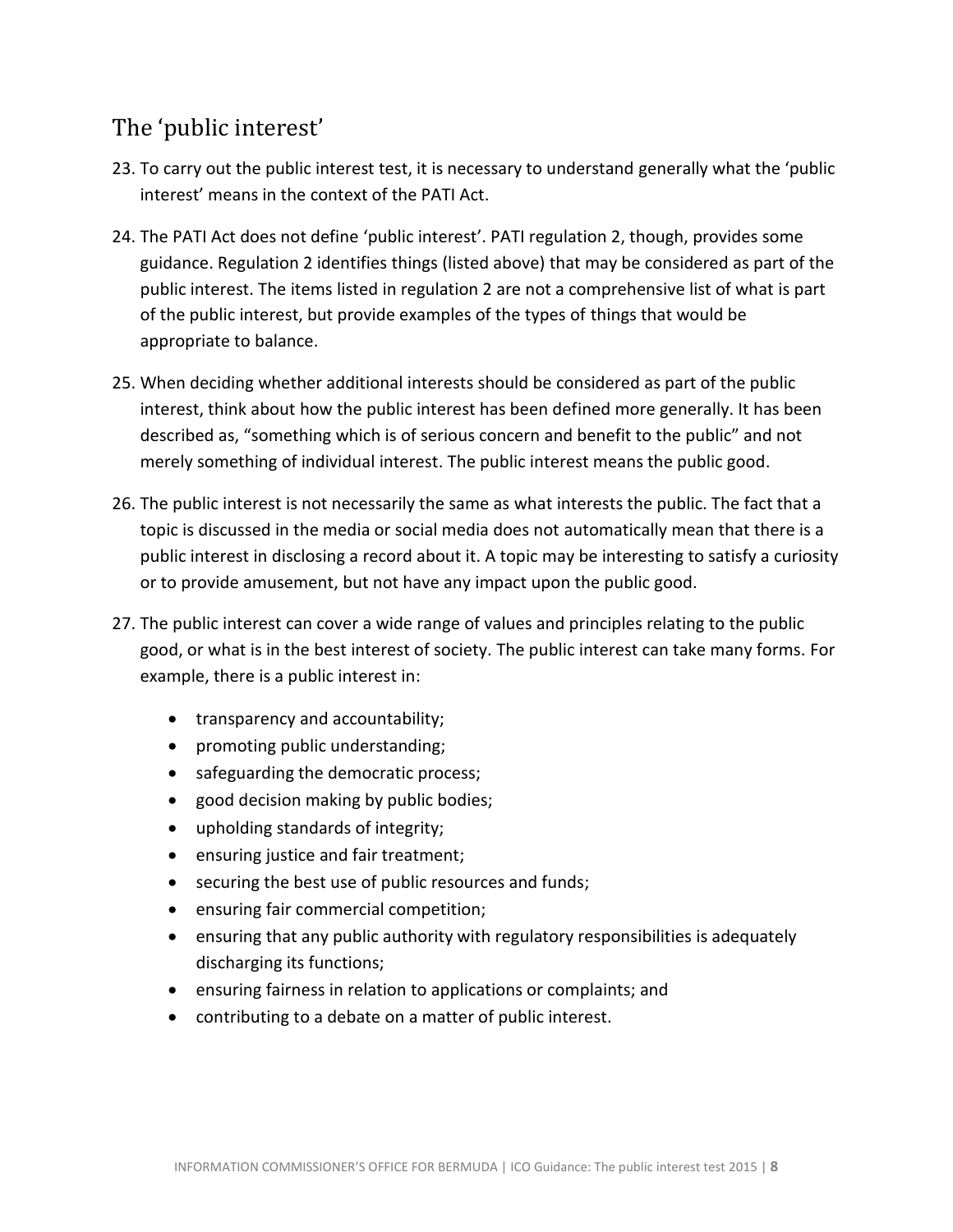### <span id="page-7-0"></span>The 'public interest'

- 23. To carry out the public interest test, it is necessary to understand generally what the 'public interest' means in the context of the PATI Act.
- 24. The PATI Act does not define 'public interest'. PATI regulation 2, though, provides some guidance. Regulation 2 identifies things (listed above) that may be considered as part of the public interest. The items listed in regulation 2 are not a comprehensive list of what is part of the public interest, but provide examples of the types of things that would be appropriate to balance.
- 25. When deciding whether additional interests should be considered as part of the public interest, think about how the public interest has been defined more generally. It has been described as, "something which is of serious concern and benefit to the public" and not merely something of individual interest. The public interest means the public good.
- 26. The public interest is not necessarily the same as what interests the public. The fact that a topic is discussed in the media or social media does not automatically mean that there is a public interest in disclosing a record about it. A topic may be interesting to satisfy a curiosity or to provide amusement, but not have any impact upon the public good.
- 27. The public interest can cover a wide range of values and principles relating to the public good, or what is in the best interest of society. The public interest can take many forms. For example, there is a public interest in:
	- transparency and accountability;
	- promoting public understanding;
	- safeguarding the democratic process;
	- good decision making by public bodies;
	- upholding standards of integrity;
	- ensuring justice and fair treatment;
	- securing the best use of public resources and funds;
	- ensuring fair commercial competition;
	- ensuring that any public authority with regulatory responsibilities is adequately discharging its functions;
	- ensuring fairness in relation to applications or complaints; and
	- contributing to a debate on a matter of public interest.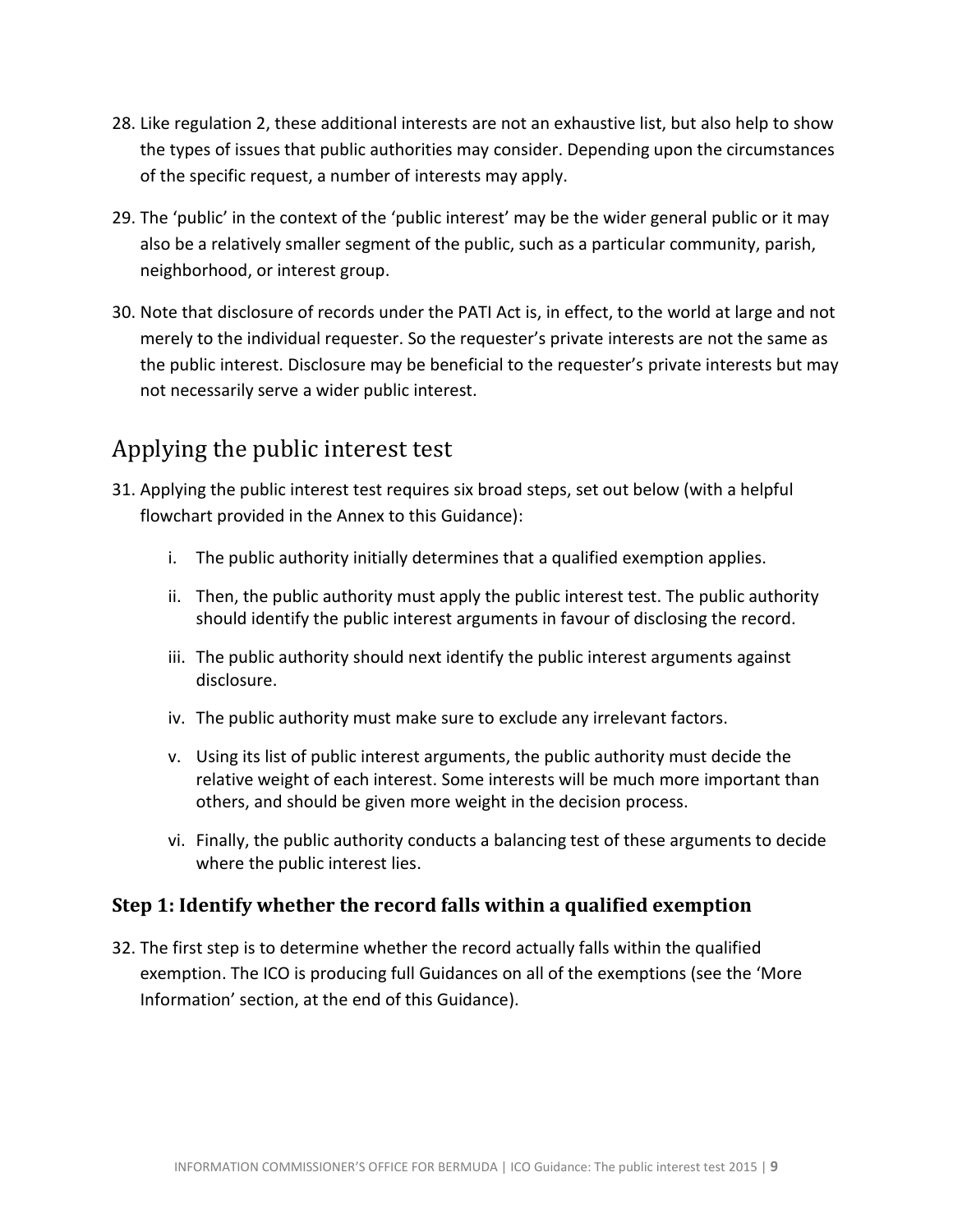- 28. Like regulation 2, these additional interests are not an exhaustive list, but also help to show the types of issues that public authorities may consider. Depending upon the circumstances of the specific request, a number of interests may apply.
- 29. The 'public' in the context of the 'public interest' may be the wider general public or it may also be a relatively smaller segment of the public, such as a particular community, parish, neighborhood, or interest group.
- 30. Note that disclosure of records under the PATI Act is, in effect, to the world at large and not merely to the individual requester. So the requester's private interests are not the same as the public interest. Disclosure may be beneficial to the requester's private interests but may not necessarily serve a wider public interest.

# <span id="page-8-0"></span>Applying the public interest test

- 31. Applying the public interest test requires six broad steps, set out below (with a helpful flowchart provided in the Annex to this Guidance):
	- i. The public authority initially determines that a qualified exemption applies.
	- ii. Then, the public authority must apply the public interest test. The public authority should identify the public interest arguments in favour of disclosing the record.
	- iii. The public authority should next identify the public interest arguments against disclosure.
	- iv. The public authority must make sure to exclude any irrelevant factors.
	- v. Using its list of public interest arguments, the public authority must decide the relative weight of each interest. Some interests will be much more important than others, and should be given more weight in the decision process.
	- vi. Finally, the public authority conducts a balancing test of these arguments to decide where the public interest lies.

### <span id="page-8-1"></span>**Step 1: Identify whether the record falls within a qualified exemption**

32. The first step is to determine whether the record actually falls within the qualified exemption. The ICO is producing full Guidances on all of the exemptions (see the 'More Information' section, at the end of this Guidance).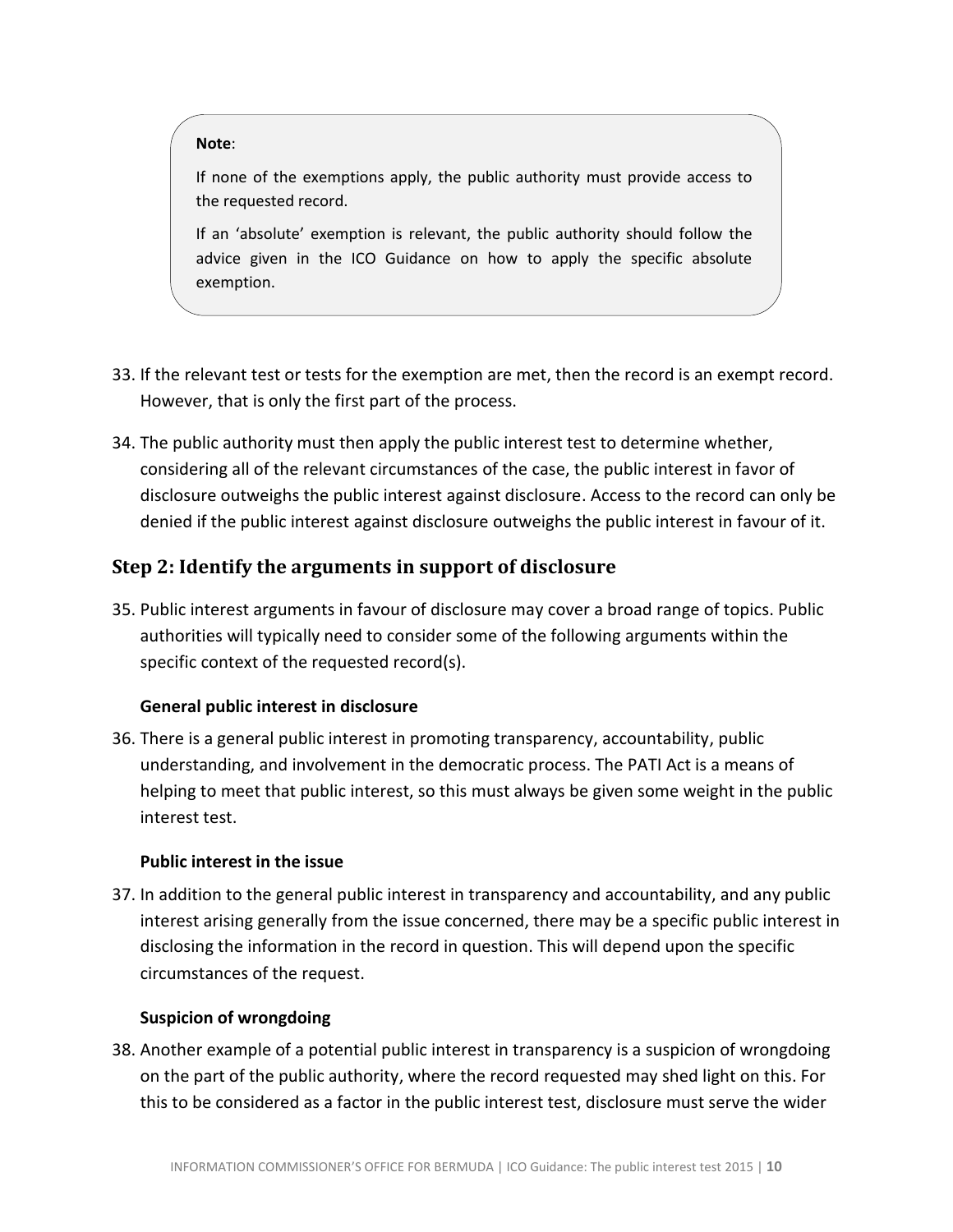#### **Note**:

If none of the exemptions apply, the public authority must provide access to the requested record.

If an 'absolute' exemption is relevant, the public authority should follow the advice given in the ICO Guidance on how to apply the specific absolute exemption.

- 33. If the relevant test or tests for the exemption are met, then the record is an exempt record. However, that is only the first part of the process.
- 34. The public authority must then apply the public interest test to determine whether, considering all of the relevant circumstances of the case, the public interest in favor of disclosure outweighs the public interest against disclosure. Access to the record can only be denied if the public interest against disclosure outweighs the public interest in favour of it.

### <span id="page-9-0"></span>**Step 2: Identify the arguments in support of disclosure**

35. Public interest arguments in favour of disclosure may cover a broad range of topics. Public authorities will typically need to consider some of the following arguments within the specific context of the requested record(s).

#### **General public interest in disclosure**

36. There is a general public interest in promoting transparency, accountability, public understanding, and involvement in the democratic process. The PATI Act is a means of helping to meet that public interest, so this must always be given some weight in the public interest test.

#### **Public interest in the issue**

37. In addition to the general public interest in transparency and accountability, and any public interest arising generally from the issue concerned, there may be a specific public interest in disclosing the information in the record in question. This will depend upon the specific circumstances of the request.

#### **Suspicion of wrongdoing**

38. Another example of a potential public interest in transparency is a suspicion of wrongdoing on the part of the public authority, where the record requested may shed light on this. For this to be considered as a factor in the public interest test, disclosure must serve the wider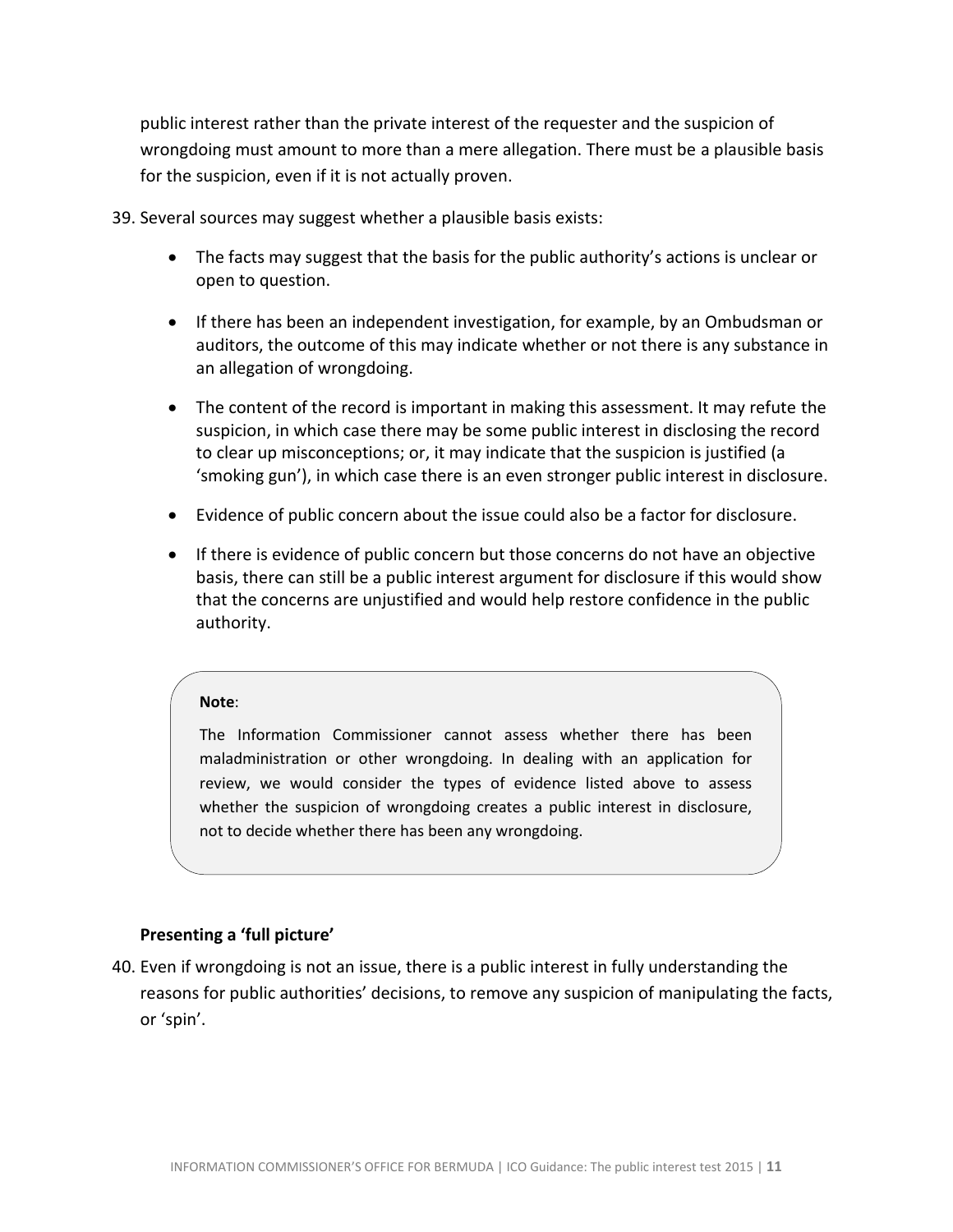public interest rather than the private interest of the requester and the suspicion of wrongdoing must amount to more than a mere allegation. There must be a plausible basis for the suspicion, even if it is not actually proven.

39. Several sources may suggest whether a plausible basis exists:

- The facts may suggest that the basis for the public authority's actions is unclear or open to question.
- If there has been an independent investigation, for example, by an Ombudsman or auditors, the outcome of this may indicate whether or not there is any substance in an allegation of wrongdoing.
- The content of the record is important in making this assessment. It may refute the suspicion, in which case there may be some public interest in disclosing the record to clear up misconceptions; or, it may indicate that the suspicion is justified (a 'smoking gun'), in which case there is an even stronger public interest in disclosure.
- Evidence of public concern about the issue could also be a factor for disclosure.
- If there is evidence of public concern but those concerns do not have an objective basis, there can still be a public interest argument for disclosure if this would show that the concerns are unjustified and would help restore confidence in the public authority.

#### **Note**:

The Information Commissioner cannot assess whether there has been maladministration or other wrongdoing. In dealing with an application for review, we would consider the types of evidence listed above to assess whether the suspicion of wrongdoing creates a public interest in disclosure, not to decide whether there has been any wrongdoing.

#### **Presenting a 'full picture'**

40. Even if wrongdoing is not an issue, there is a public interest in fully understanding the reasons for public authorities' decisions, to remove any suspicion of manipulating the facts, or 'spin'.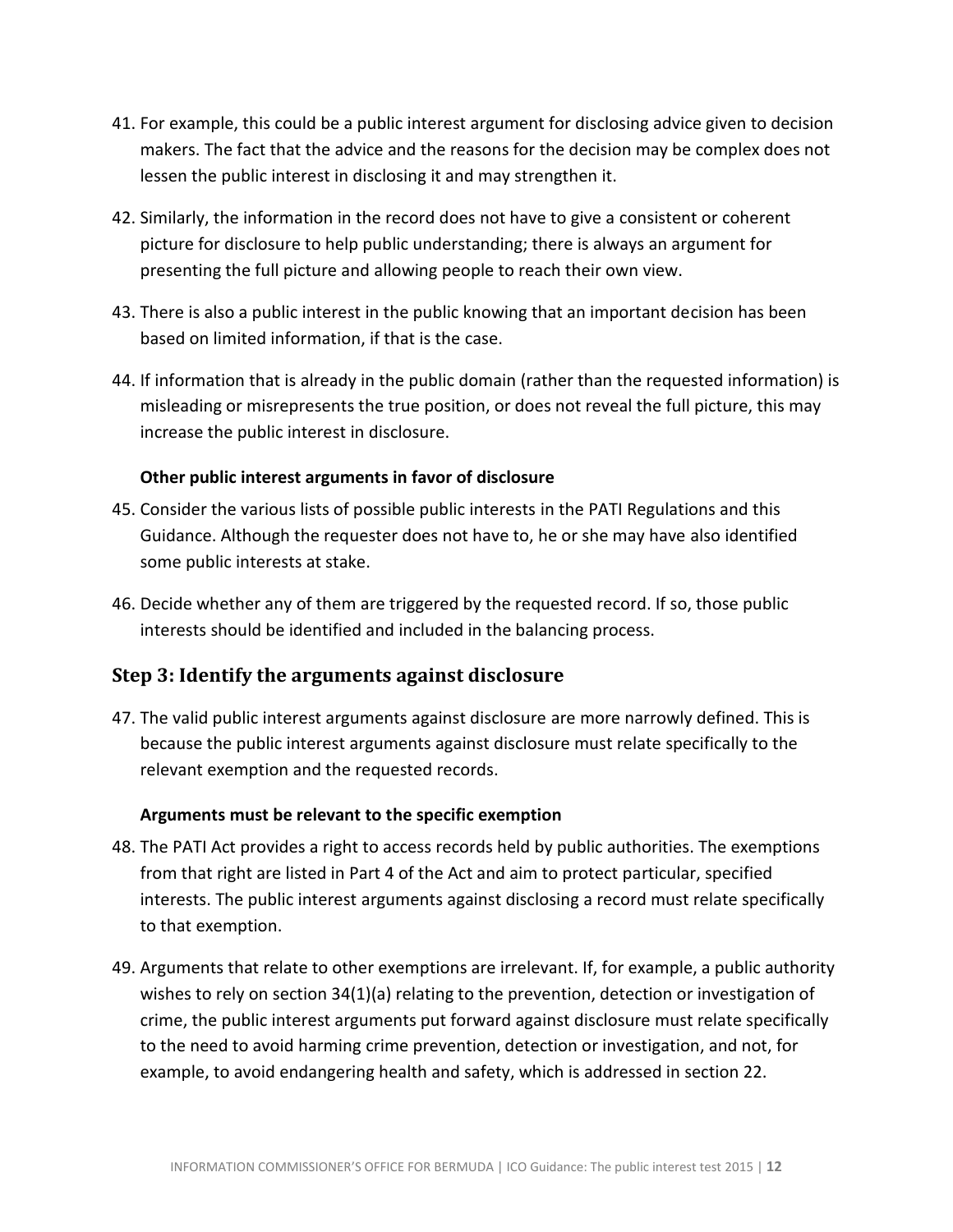- 41. For example, this could be a public interest argument for disclosing advice given to decision makers. The fact that the advice and the reasons for the decision may be complex does not lessen the public interest in disclosing it and may strengthen it.
- 42. Similarly, the information in the record does not have to give a consistent or coherent picture for disclosure to help public understanding; there is always an argument for presenting the full picture and allowing people to reach their own view.
- 43. There is also a public interest in the public knowing that an important decision has been based on limited information, if that is the case.
- 44. If information that is already in the public domain (rather than the requested information) is misleading or misrepresents the true position, or does not reveal the full picture, this may increase the public interest in disclosure.

#### **Other public interest arguments in favor of disclosure**

- 45. Consider the various lists of possible public interests in the PATI Regulations and this Guidance. Although the requester does not have to, he or she may have also identified some public interests at stake.
- 46. Decide whether any of them are triggered by the requested record. If so, those public interests should be identified and included in the balancing process.

### <span id="page-11-0"></span>**Step 3: Identify the arguments against disclosure**

47. The valid public interest arguments against disclosure are more narrowly defined. This is because the public interest arguments against disclosure must relate specifically to the relevant exemption and the requested records.

#### **Arguments must be relevant to the specific exemption**

- 48. The PATI Act provides a right to access records held by public authorities. The exemptions from that right are listed in Part 4 of the Act and aim to protect particular, specified interests. The public interest arguments against disclosing a record must relate specifically to that exemption.
- 49. Arguments that relate to other exemptions are irrelevant. If, for example, a public authority wishes to rely on section 34(1)(a) relating to the prevention, detection or investigation of crime, the public interest arguments put forward against disclosure must relate specifically to the need to avoid harming crime prevention, detection or investigation, and not, for example, to avoid endangering health and safety, which is addressed in section 22.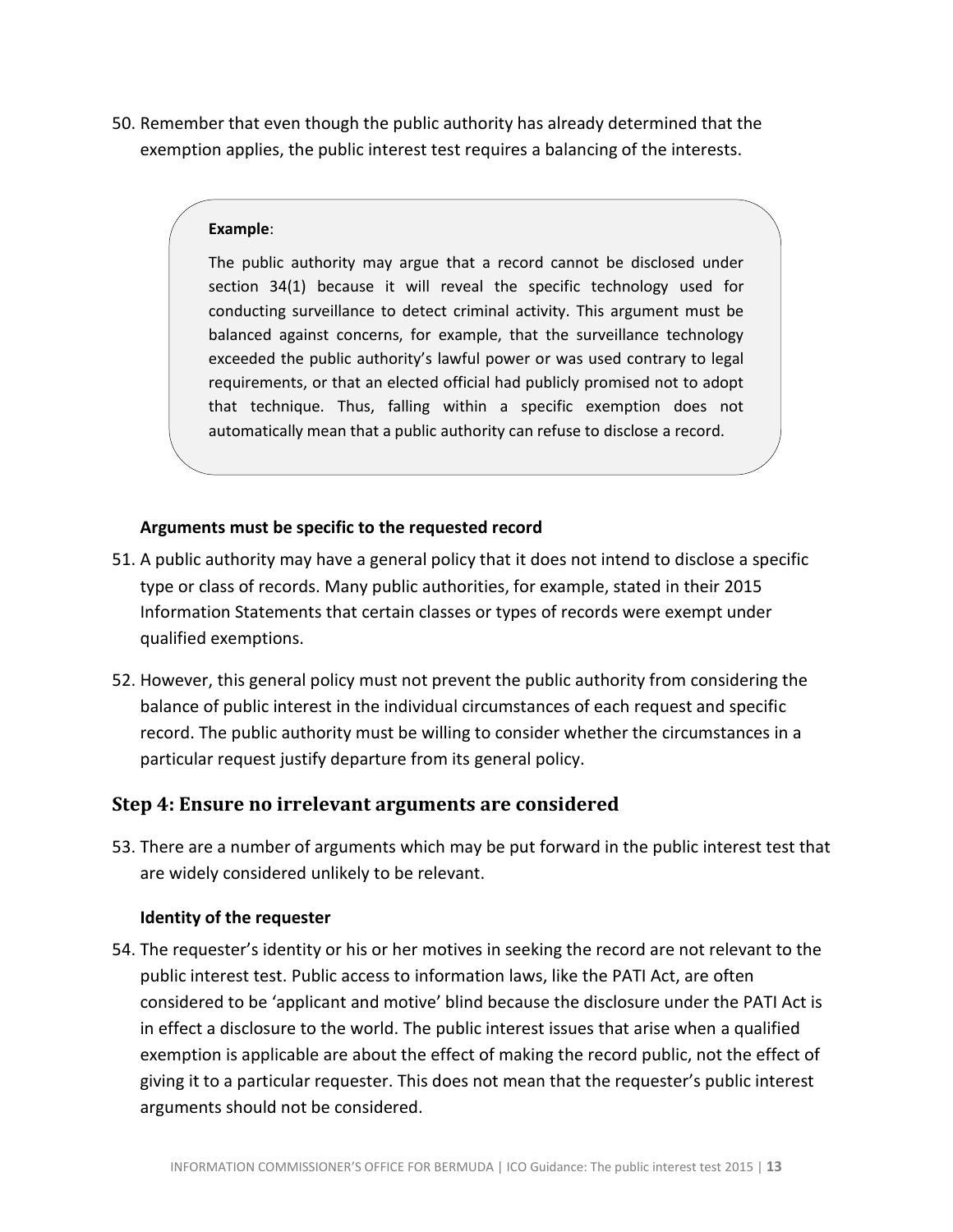50. Remember that even though the public authority has already determined that the exemption applies, the public interest test requires a balancing of the interests.

#### **Example**:

The public authority may argue that a record cannot be disclosed under section 34(1) because it will reveal the specific technology used for conducting surveillance to detect criminal activity. This argument must be balanced against concerns, for example, that the surveillance technology exceeded the public authority's lawful power or was used contrary to legal requirements, or that an elected official had publicly promised not to adopt that technique. Thus, falling within a specific exemption does not automatically mean that a public authority can refuse to disclose a record.

#### **Arguments must be specific to the requested record**

- 51. A public authority may have a general policy that it does not intend to disclose a specific type or class of records. Many public authorities, for example, stated in their 2015 Information Statements that certain classes or types of records were exempt under qualified exemptions.
- 52. However, this general policy must not prevent the public authority from considering the balance of public interest in the individual circumstances of each request and specific record. The public authority must be willing to consider whether the circumstances in a particular request justify departure from its general policy.

### <span id="page-12-0"></span>**Step 4: Ensure no irrelevant arguments are considered**

53. There are a number of arguments which may be put forward in the public interest test that are widely considered unlikely to be relevant.

#### **Identity of the requester**

54. The requester's identity or his or her motives in seeking the record are not relevant to the public interest test. Public access to information laws, like the PATI Act, are often considered to be 'applicant and motive' blind because the disclosure under the PATI Act is in effect a disclosure to the world. The public interest issues that arise when a qualified exemption is applicable are about the effect of making the record public, not the effect of giving it to a particular requester. This does not mean that the requester's public interest arguments should not be considered.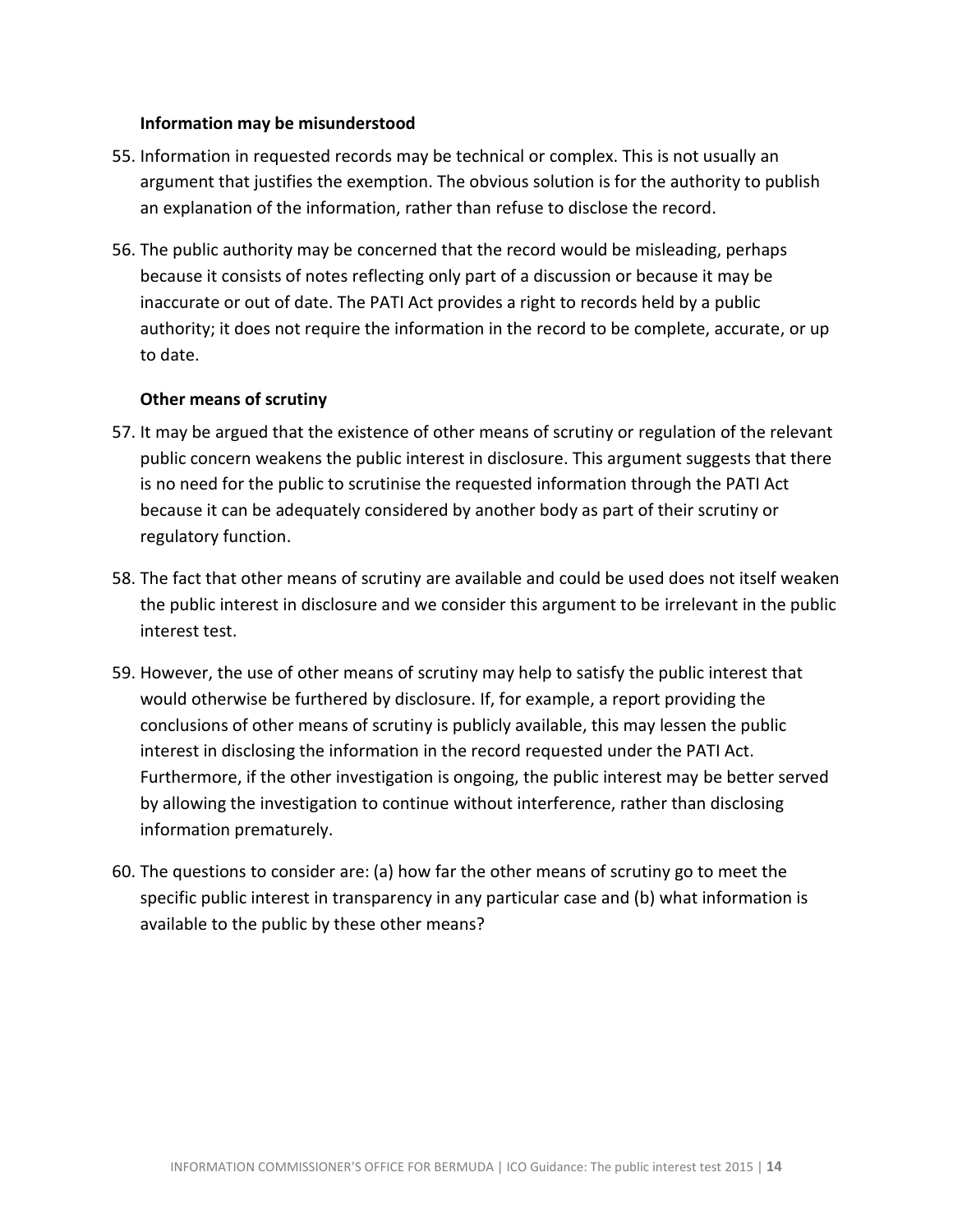#### **Information may be misunderstood**

- 55. Information in requested records may be technical or complex. This is not usually an argument that justifies the exemption. The obvious solution is for the authority to publish an explanation of the information, rather than refuse to disclose the record.
- 56. The public authority may be concerned that the record would be misleading, perhaps because it consists of notes reflecting only part of a discussion or because it may be inaccurate or out of date. The PATI Act provides a right to records held by a public authority; it does not require the information in the record to be complete, accurate, or up to date.

#### **Other means of scrutiny**

- 57. It may be argued that the existence of other means of scrutiny or regulation of the relevant public concern weakens the public interest in disclosure. This argument suggests that there is no need for the public to scrutinise the requested information through the PATI Act because it can be adequately considered by another body as part of their scrutiny or regulatory function.
- 58. The fact that other means of scrutiny are available and could be used does not itself weaken the public interest in disclosure and we consider this argument to be irrelevant in the public interest test.
- 59. However, the use of other means of scrutiny may help to satisfy the public interest that would otherwise be furthered by disclosure. If, for example, a report providing the conclusions of other means of scrutiny is publicly available, this may lessen the public interest in disclosing the information in the record requested under the PATI Act. Furthermore, if the other investigation is ongoing, the public interest may be better served by allowing the investigation to continue without interference, rather than disclosing information prematurely.
- 60. The questions to consider are: (a) how far the other means of scrutiny go to meet the specific public interest in transparency in any particular case and (b) what information is available to the public by these other means?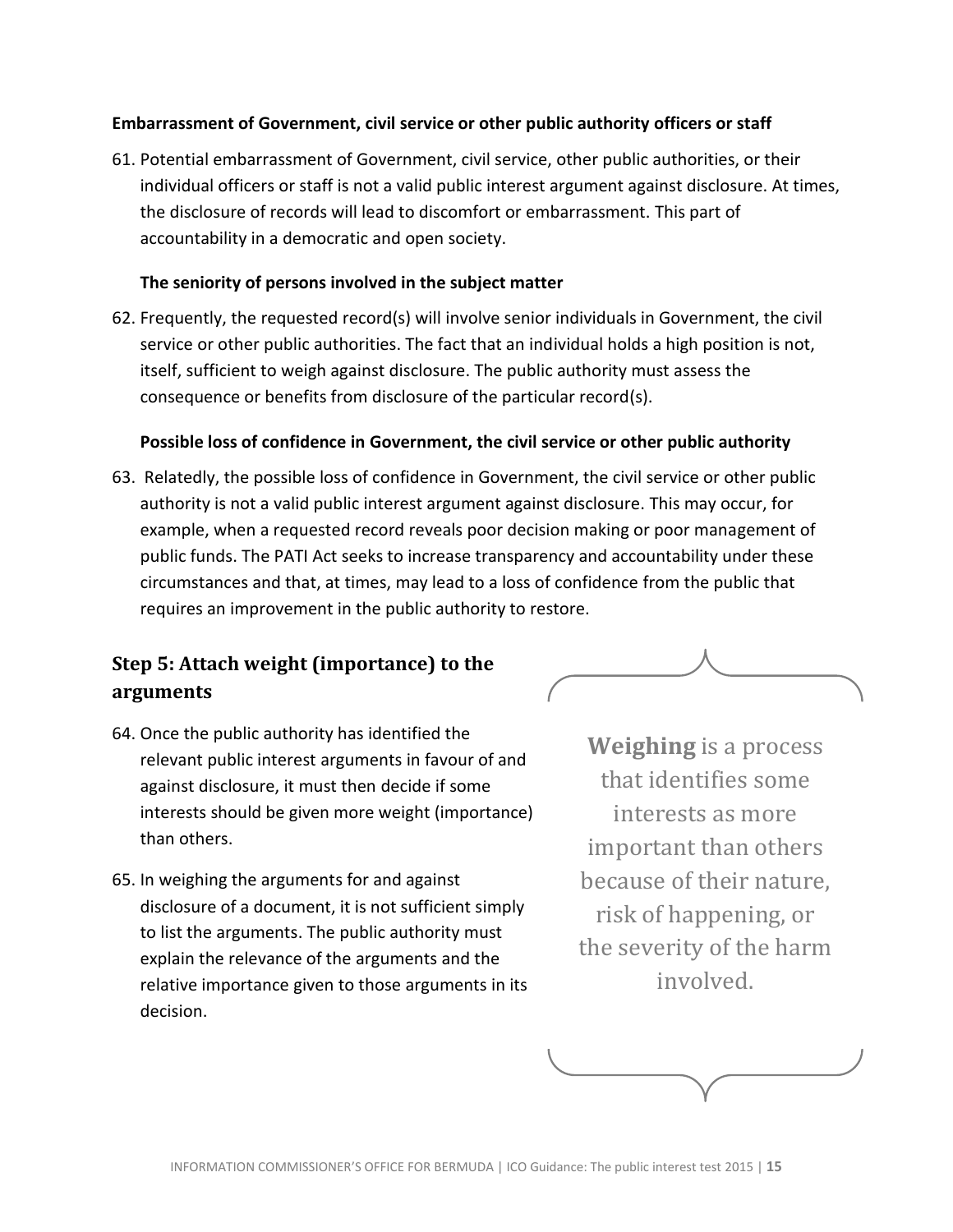#### **Embarrassment of Government, civil service or other public authority officers or staff**

61. Potential embarrassment of Government, civil service, other public authorities, or their individual officers or staff is not a valid public interest argument against disclosure. At times, the disclosure of records will lead to discomfort or embarrassment. This part of accountability in a democratic and open society.

#### **The seniority of persons involved in the subject matter**

62. Frequently, the requested record(s) will involve senior individuals in Government, the civil service or other public authorities. The fact that an individual holds a high position is not, itself, sufficient to weigh against disclosure. The public authority must assess the consequence or benefits from disclosure of the particular record(s).

#### **Possible loss of confidence in Government, the civil service or other public authority**

63. Relatedly, the possible loss of confidence in Government, the civil service or other public authority is not a valid public interest argument against disclosure. This may occur, for example, when a requested record reveals poor decision making or poor management of public funds. The PATI Act seeks to increase transparency and accountability under these circumstances and that, at times, may lead to a loss of confidence from the public that requires an improvement in the public authority to restore.

### <span id="page-14-0"></span>**Step 5: Attach weight (importance) to the arguments**

- 64. Once the public authority has identified the relevant public interest arguments in favour of and against disclosure, it must then decide if some interests should be given more weight (importance) than others.
- 65. In weighing the arguments for and against disclosure of a document, it is not sufficient simply to list the arguments. The public authority must explain the relevance of the arguments and the relative importance given to those arguments in its decision.

**Weighing** is a process that identifies some interests as more important than others because of their nature, risk of happening, or the severity of the harm involved.

$$
\underbrace{\qquad \qquad }
$$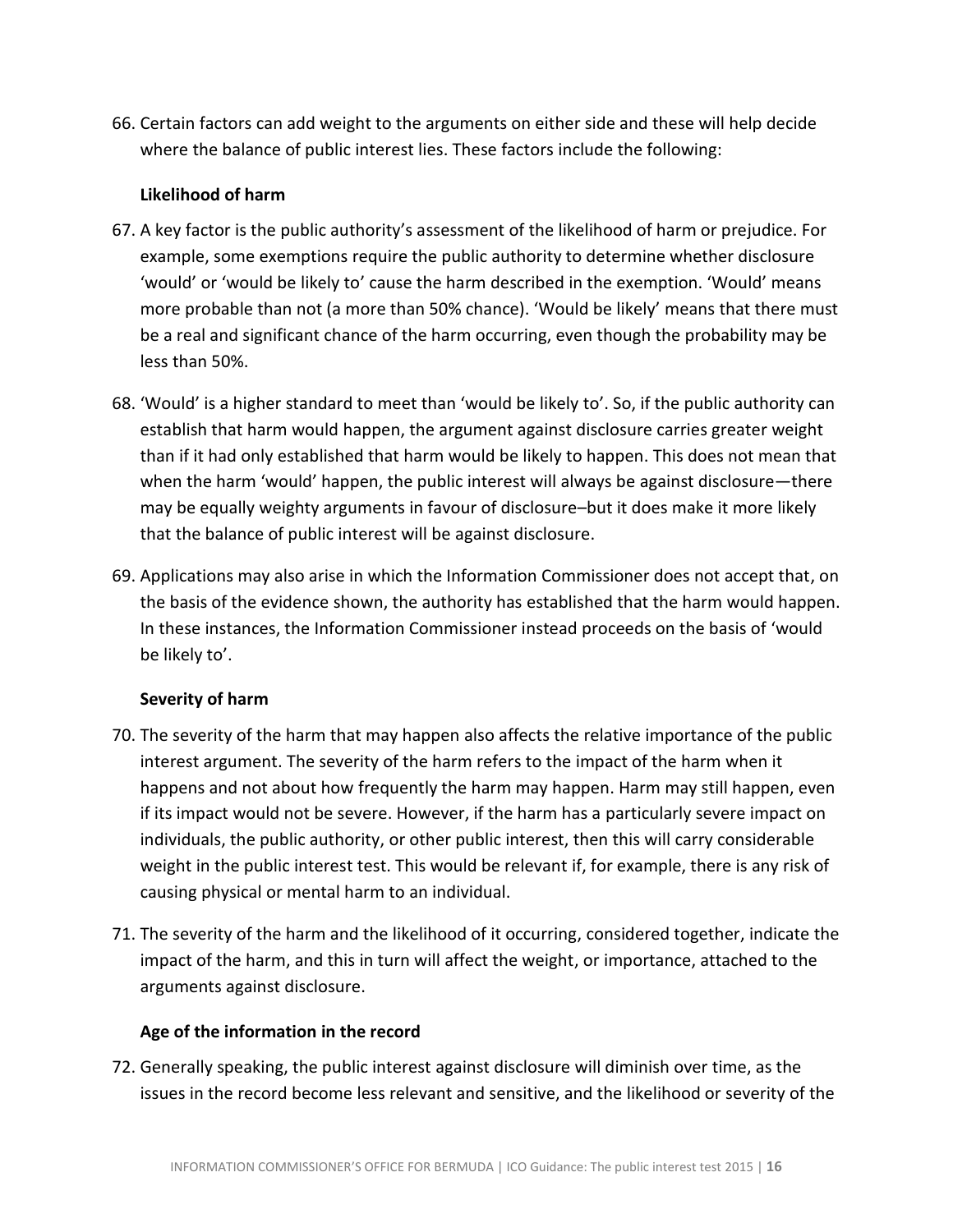66. Certain factors can add weight to the arguments on either side and these will help decide where the balance of public interest lies. These factors include the following:

#### **Likelihood of harm**

- 67. A key factor is the public authority's assessment of the likelihood of harm or prejudice. For example, some exemptions require the public authority to determine whether disclosure 'would' or 'would be likely to' cause the harm described in the exemption. 'Would' means more probable than not (a more than 50% chance). 'Would be likely' means that there must be a real and significant chance of the harm occurring, even though the probability may be less than 50%.
- 68. 'Would' is a higher standard to meet than 'would be likely to'. So, if the public authority can establish that harm would happen, the argument against disclosure carries greater weight than if it had only established that harm would be likely to happen. This does not mean that when the harm 'would' happen, the public interest will always be against disclosure—there may be equally weighty arguments in favour of disclosure–but it does make it more likely that the balance of public interest will be against disclosure.
- 69. Applications may also arise in which the Information Commissioner does not accept that, on the basis of the evidence shown, the authority has established that the harm would happen. In these instances, the Information Commissioner instead proceeds on the basis of 'would be likely to'.

#### **Severity of harm**

- 70. The severity of the harm that may happen also affects the relative importance of the public interest argument. The severity of the harm refers to the impact of the harm when it happens and not about how frequently the harm may happen. Harm may still happen, even if its impact would not be severe. However, if the harm has a particularly severe impact on individuals, the public authority, or other public interest, then this will carry considerable weight in the public interest test. This would be relevant if, for example, there is any risk of causing physical or mental harm to an individual.
- 71. The severity of the harm and the likelihood of it occurring, considered together, indicate the impact of the harm, and this in turn will affect the weight, or importance, attached to the arguments against disclosure.

#### **Age of the information in the record**

72. Generally speaking, the public interest against disclosure will diminish over time, as the issues in the record become less relevant and sensitive, and the likelihood or severity of the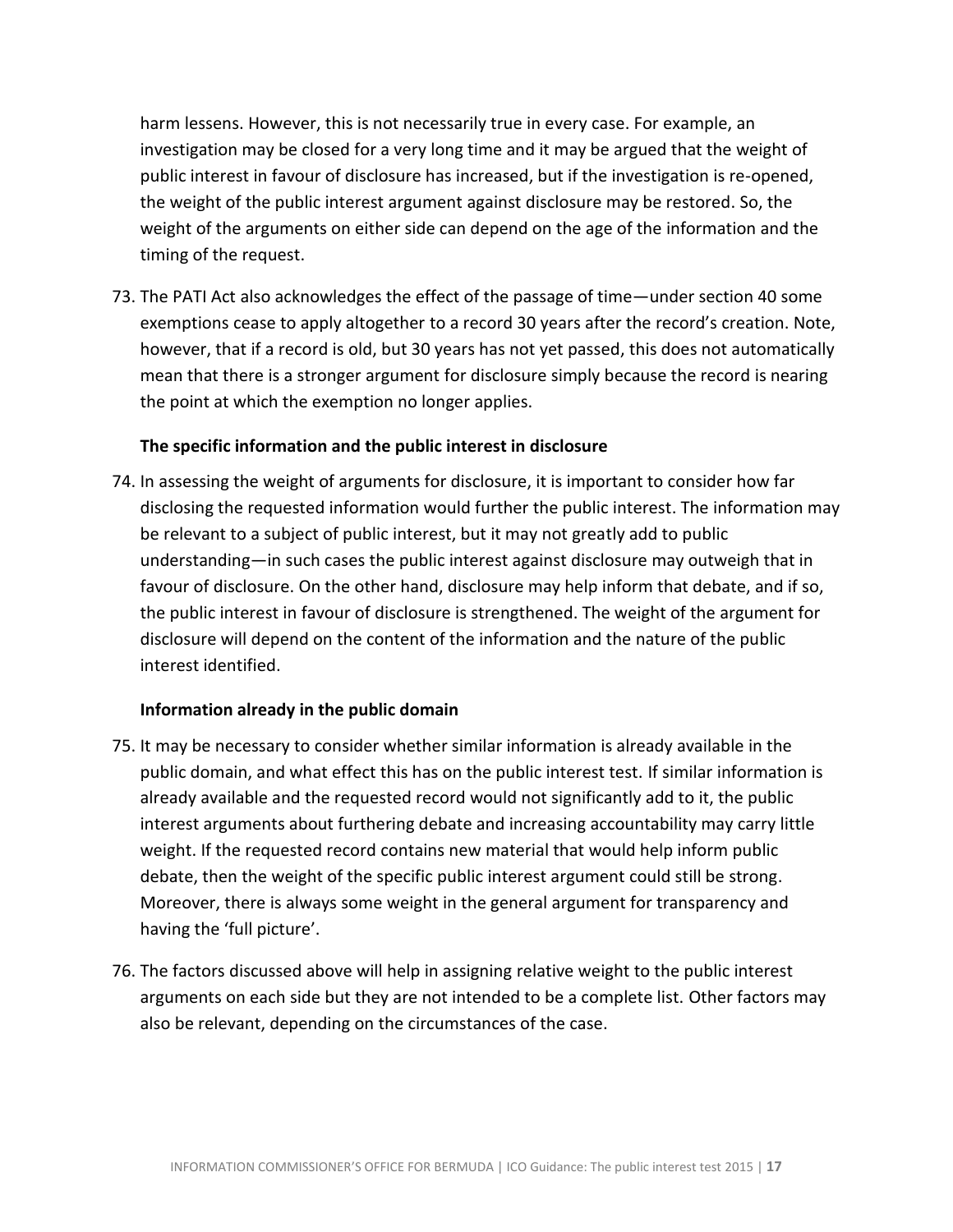harm lessens. However, this is not necessarily true in every case. For example, an investigation may be closed for a very long time and it may be argued that the weight of public interest in favour of disclosure has increased, but if the investigation is re-opened, the weight of the public interest argument against disclosure may be restored. So, the weight of the arguments on either side can depend on the age of the information and the timing of the request.

73. The PATI Act also acknowledges the effect of the passage of time—under section 40 some exemptions cease to apply altogether to a record 30 years after the record's creation. Note, however, that if a record is old, but 30 years has not yet passed, this does not automatically mean that there is a stronger argument for disclosure simply because the record is nearing the point at which the exemption no longer applies.

#### **The specific information and the public interest in disclosure**

74. In assessing the weight of arguments for disclosure, it is important to consider how far disclosing the requested information would further the public interest. The information may be relevant to a subject of public interest, but it may not greatly add to public understanding—in such cases the public interest against disclosure may outweigh that in favour of disclosure. On the other hand, disclosure may help inform that debate, and if so, the public interest in favour of disclosure is strengthened. The weight of the argument for disclosure will depend on the content of the information and the nature of the public interest identified.

#### **Information already in the public domain**

- 75. It may be necessary to consider whether similar information is already available in the public domain, and what effect this has on the public interest test. If similar information is already available and the requested record would not significantly add to it, the public interest arguments about furthering debate and increasing accountability may carry little weight. If the requested record contains new material that would help inform public debate, then the weight of the specific public interest argument could still be strong. Moreover, there is always some weight in the general argument for transparency and having the 'full picture'.
- 76. The factors discussed above will help in assigning relative weight to the public interest arguments on each side but they are not intended to be a complete list. Other factors may also be relevant, depending on the circumstances of the case.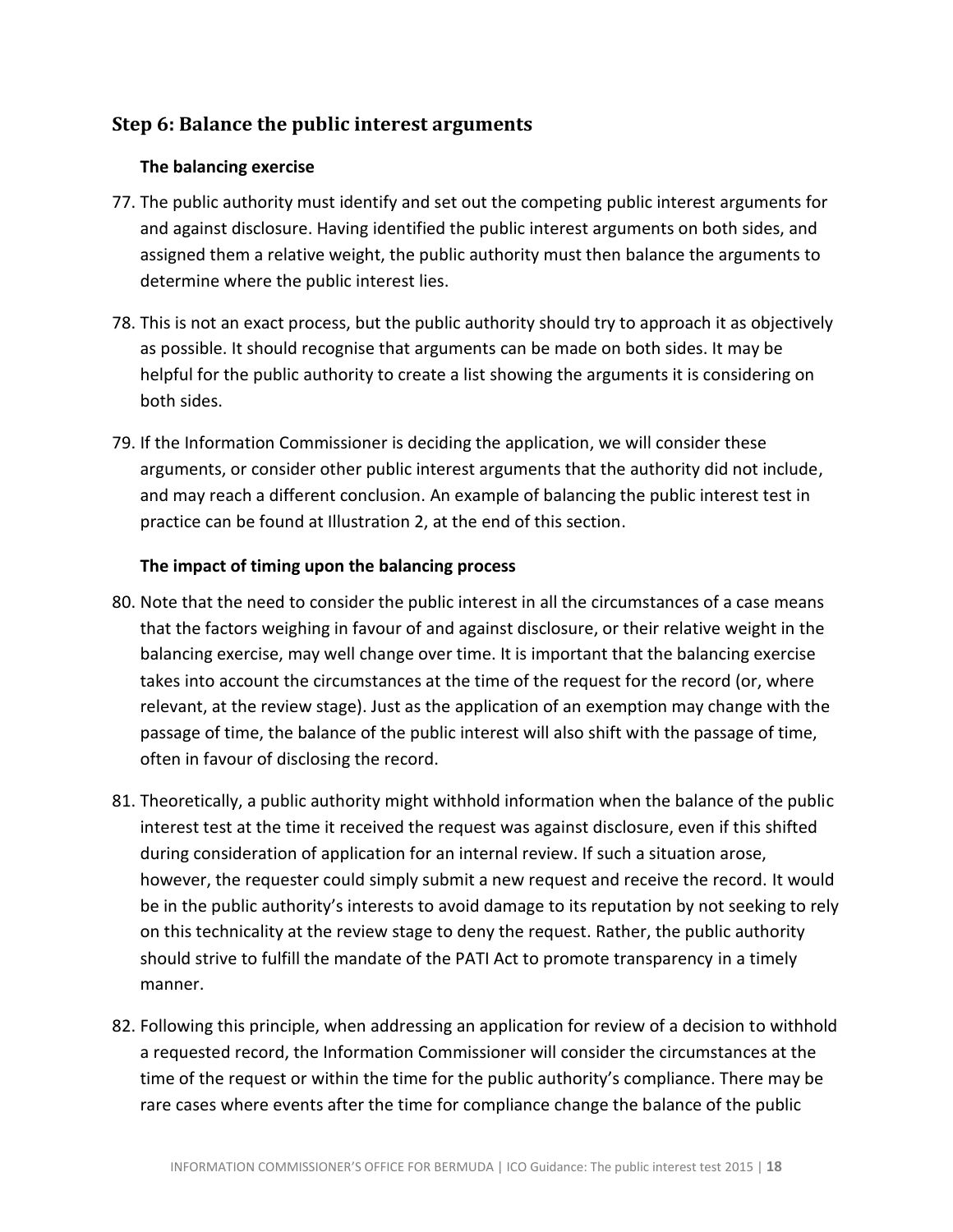### <span id="page-17-0"></span>**Step 6: Balance the public interest arguments**

#### **The balancing exercise**

- 77. The public authority must identify and set out the competing public interest arguments for and against disclosure. Having identified the public interest arguments on both sides, and assigned them a relative weight, the public authority must then balance the arguments to determine where the public interest lies.
- 78. This is not an exact process, but the public authority should try to approach it as objectively as possible. It should recognise that arguments can be made on both sides. It may be helpful for the public authority to create a list showing the arguments it is considering on both sides.
- 79. If the Information Commissioner is deciding the application, we will consider these arguments, or consider other public interest arguments that the authority did not include, and may reach a different conclusion. An example of balancing the public interest test in practice can be found at Illustration 2, at the end of this section.

#### **The impact of timing upon the balancing process**

- 80. Note that the need to consider the public interest in all the circumstances of a case means that the factors weighing in favour of and against disclosure, or their relative weight in the balancing exercise, may well change over time. It is important that the balancing exercise takes into account the circumstances at the time of the request for the record (or, where relevant, at the review stage). Just as the application of an exemption may change with the passage of time, the balance of the public interest will also shift with the passage of time, often in favour of disclosing the record.
- 81. Theoretically, a public authority might withhold information when the balance of the public interest test at the time it received the request was against disclosure, even if this shifted during consideration of application for an internal review. If such a situation arose, however, the requester could simply submit a new request and receive the record. It would be in the public authority's interests to avoid damage to its reputation by not seeking to rely on this technicality at the review stage to deny the request. Rather, the public authority should strive to fulfill the mandate of the PATI Act to promote transparency in a timely manner.
- 82. Following this principle, when addressing an application for review of a decision to withhold a requested record, the Information Commissioner will consider the circumstances at the time of the request or within the time for the public authority's compliance. There may be rare cases where events after the time for compliance change the balance of the public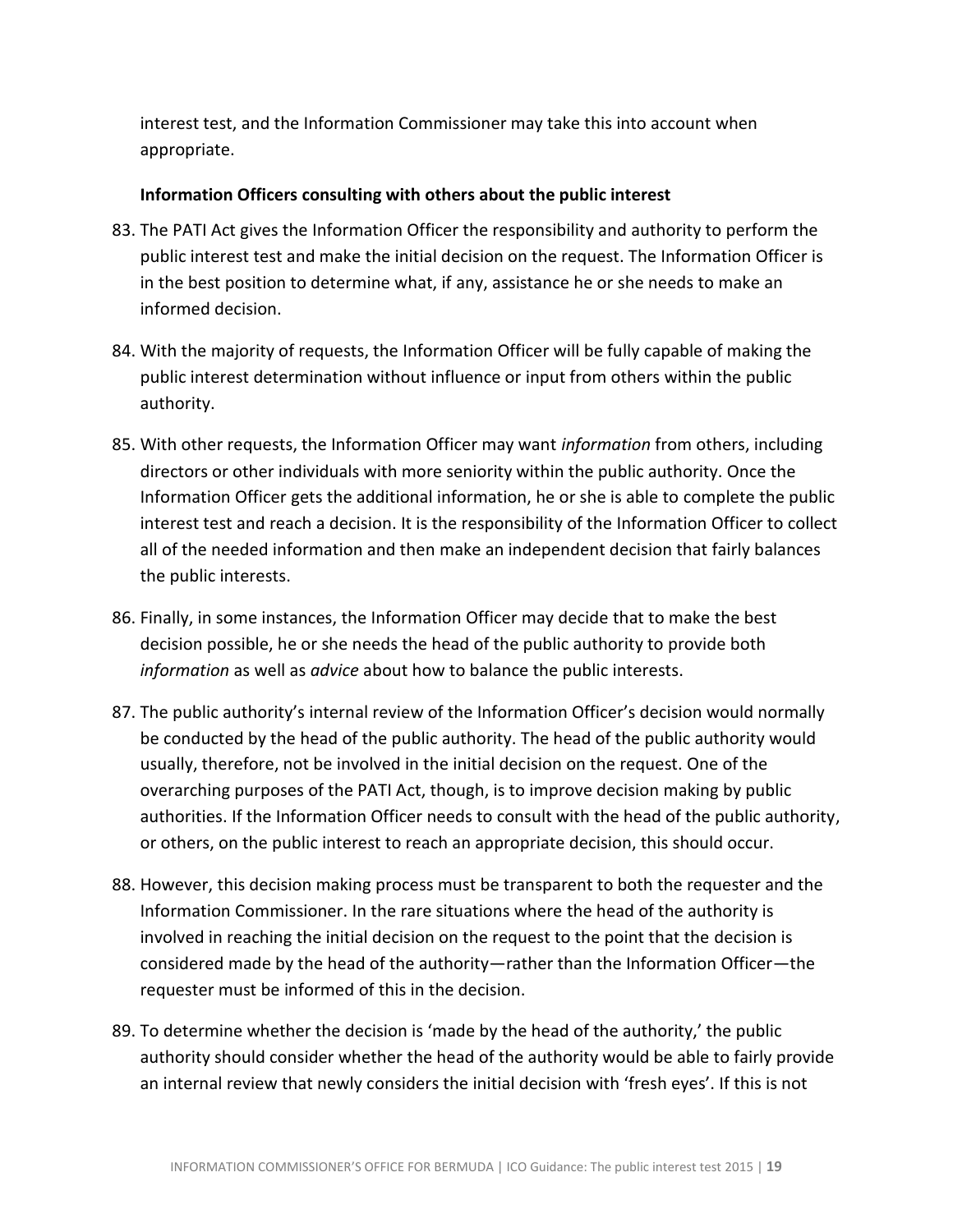interest test, and the Information Commissioner may take this into account when appropriate.

#### **Information Officers consulting with others about the public interest**

- 83. The PATI Act gives the Information Officer the responsibility and authority to perform the public interest test and make the initial decision on the request. The Information Officer is in the best position to determine what, if any, assistance he or she needs to make an informed decision.
- 84. With the majority of requests, the Information Officer will be fully capable of making the public interest determination without influence or input from others within the public authority.
- 85. With other requests, the Information Officer may want *information* from others, including directors or other individuals with more seniority within the public authority. Once the Information Officer gets the additional information, he or she is able to complete the public interest test and reach a decision. It is the responsibility of the Information Officer to collect all of the needed information and then make an independent decision that fairly balances the public interests.
- 86. Finally, in some instances, the Information Officer may decide that to make the best decision possible, he or she needs the head of the public authority to provide both *information* as well as *advice* about how to balance the public interests.
- 87. The public authority's internal review of the Information Officer's decision would normally be conducted by the head of the public authority. The head of the public authority would usually, therefore, not be involved in the initial decision on the request. One of the overarching purposes of the PATI Act, though, is to improve decision making by public authorities. If the Information Officer needs to consult with the head of the public authority, or others, on the public interest to reach an appropriate decision, this should occur.
- 88. However, this decision making process must be transparent to both the requester and the Information Commissioner. In the rare situations where the head of the authority is involved in reaching the initial decision on the request to the point that the decision is considered made by the head of the authority—rather than the Information Officer—the requester must be informed of this in the decision.
- 89. To determine whether the decision is 'made by the head of the authority,' the public authority should consider whether the head of the authority would be able to fairly provide an internal review that newly considers the initial decision with 'fresh eyes'. If this is not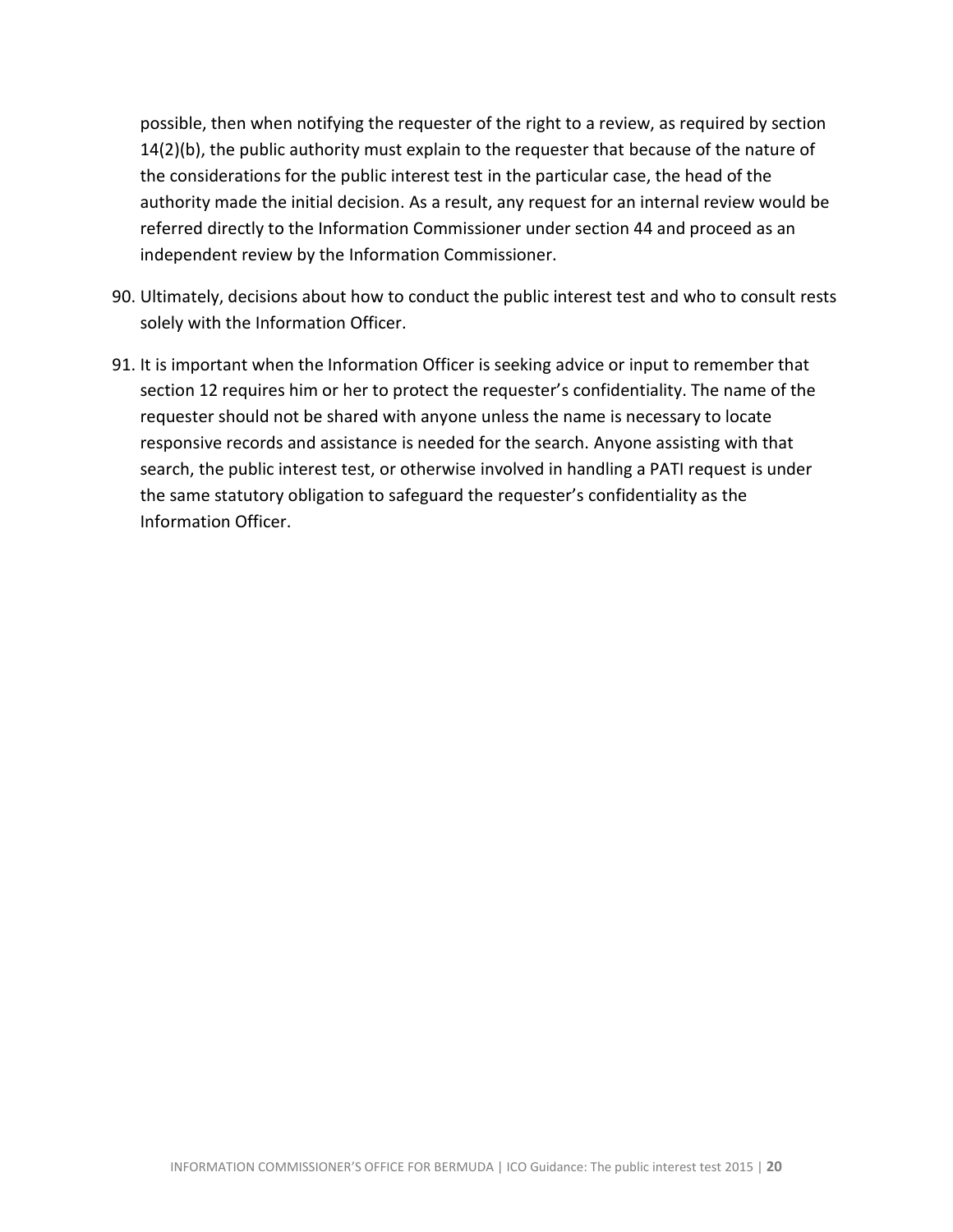possible, then when notifying the requester of the right to a review, as required by section 14(2)(b), the public authority must explain to the requester that because of the nature of the considerations for the public interest test in the particular case, the head of the authority made the initial decision. As a result, any request for an internal review would be referred directly to the Information Commissioner under section 44 and proceed as an independent review by the Information Commissioner.

- 90. Ultimately, decisions about how to conduct the public interest test and who to consult rests solely with the Information Officer.
- 91. It is important when the Information Officer is seeking advice or input to remember that section 12 requires him or her to protect the requester's confidentiality. The name of the requester should not be shared with anyone unless the name is necessary to locate responsive records and assistance is needed for the search. Anyone assisting with that search, the public interest test, or otherwise involved in handling a PATI request is under the same statutory obligation to safeguard the requester's confidentiality as the Information Officer.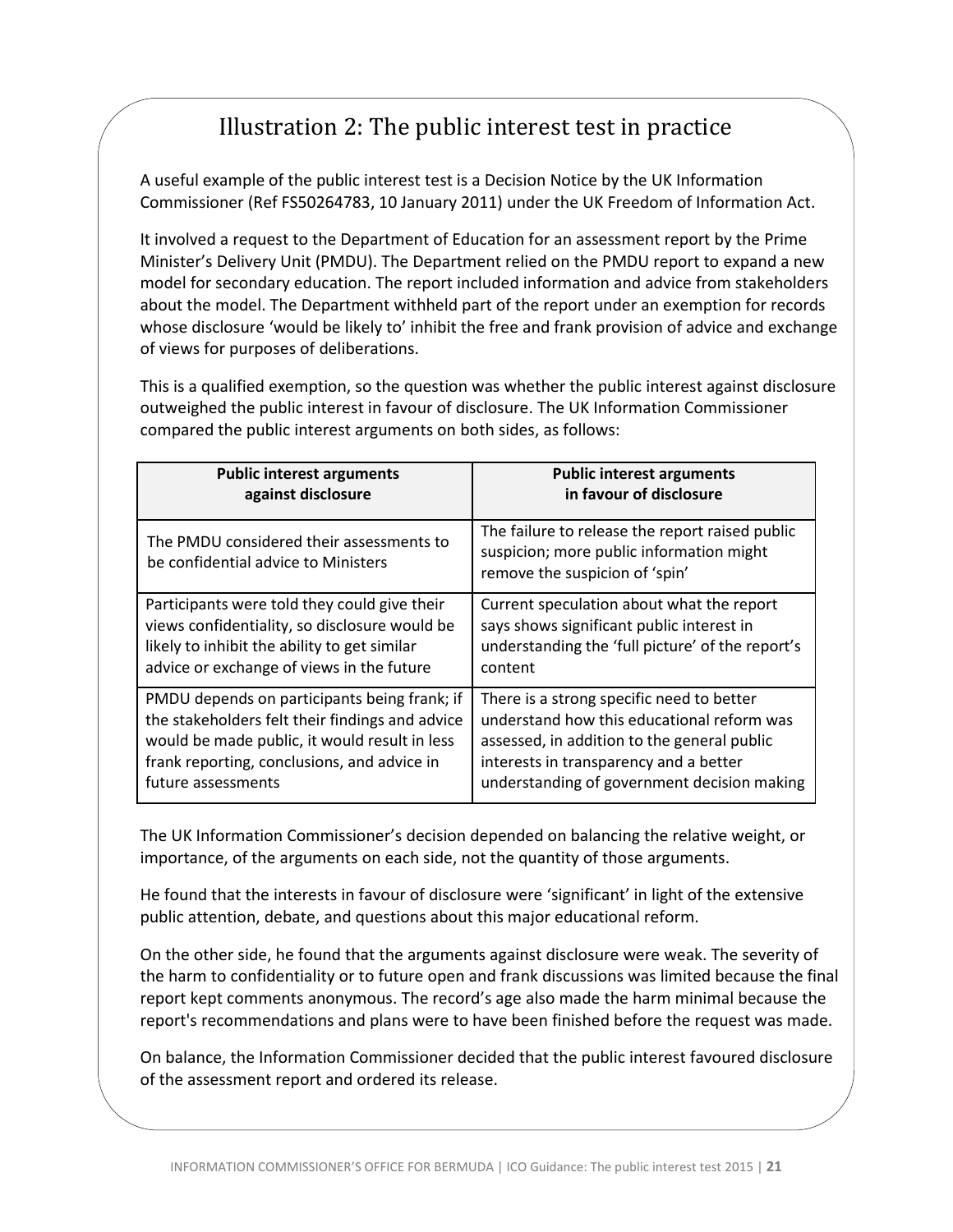# Illustration 2: The public interest test in practice

<span id="page-20-0"></span>A useful example of the public interest test is a Decision Notice by the UK Information Commissioner (Ref FS50264783, 10 January 2011) under the UK Freedom of Information Act.

It involved a request to the Department of Education for an assessment report by the Prime Minister's Delivery Unit (PMDU). The Department relied on the PMDU report to expand a new model for secondary education. The report included information and advice from stakeholders about the model. The Department withheld part of the report under an exemption for records whose disclosure 'would be likely to' inhibit the free and frank provision of advice and exchange of views for purposes of deliberations.

This is a qualified exemption, so the question was whether the public interest against disclosure outweighed the public interest in favour of disclosure. The UK Information Commissioner compared the public interest arguments on both sides, as follows:

| <b>Public interest arguments</b>                                                | <b>Public interest arguments</b>                                                                                              |
|---------------------------------------------------------------------------------|-------------------------------------------------------------------------------------------------------------------------------|
| against disclosure                                                              | in favour of disclosure                                                                                                       |
| The PMDU considered their assessments to<br>be confidential advice to Ministers | The failure to release the report raised public<br>suspicion; more public information might<br>remove the suspicion of 'spin' |
| Participants were told they could give their                                    | Current speculation about what the report                                                                                     |
| views confidentiality, so disclosure would be                                   | says shows significant public interest in                                                                                     |
| likely to inhibit the ability to get similar                                    | understanding the 'full picture' of the report's                                                                              |
| advice or exchange of views in the future                                       | content                                                                                                                       |
| PMDU depends on participants being frank; if                                    | There is a strong specific need to better                                                                                     |
| the stakeholders felt their findings and advice                                 | understand how this educational reform was                                                                                    |
| would be made public, it would result in less                                   | assessed, in addition to the general public                                                                                   |
| frank reporting, conclusions, and advice in                                     | interests in transparency and a better                                                                                        |
| future assessments                                                              | understanding of government decision making                                                                                   |

The UK Information Commissioner's decision depended on balancing the relative weight, or importance, of the arguments on each side, not the quantity of those arguments.

He found that the interests in favour of disclosure were 'significant' in light of the extensive public attention, debate, and questions about this major educational reform.

On the other side, he found that the arguments against disclosure were weak. The severity of the harm to confidentiality or to future open and frank discussions was limited because the final report kept comments anonymous. The record's age also made the harm minimal because the report's recommendations and plans were to have been finished before the request was made.

On balance, the Information Commissioner decided that the public interest favoured disclosure of the assessment report and ordered its release.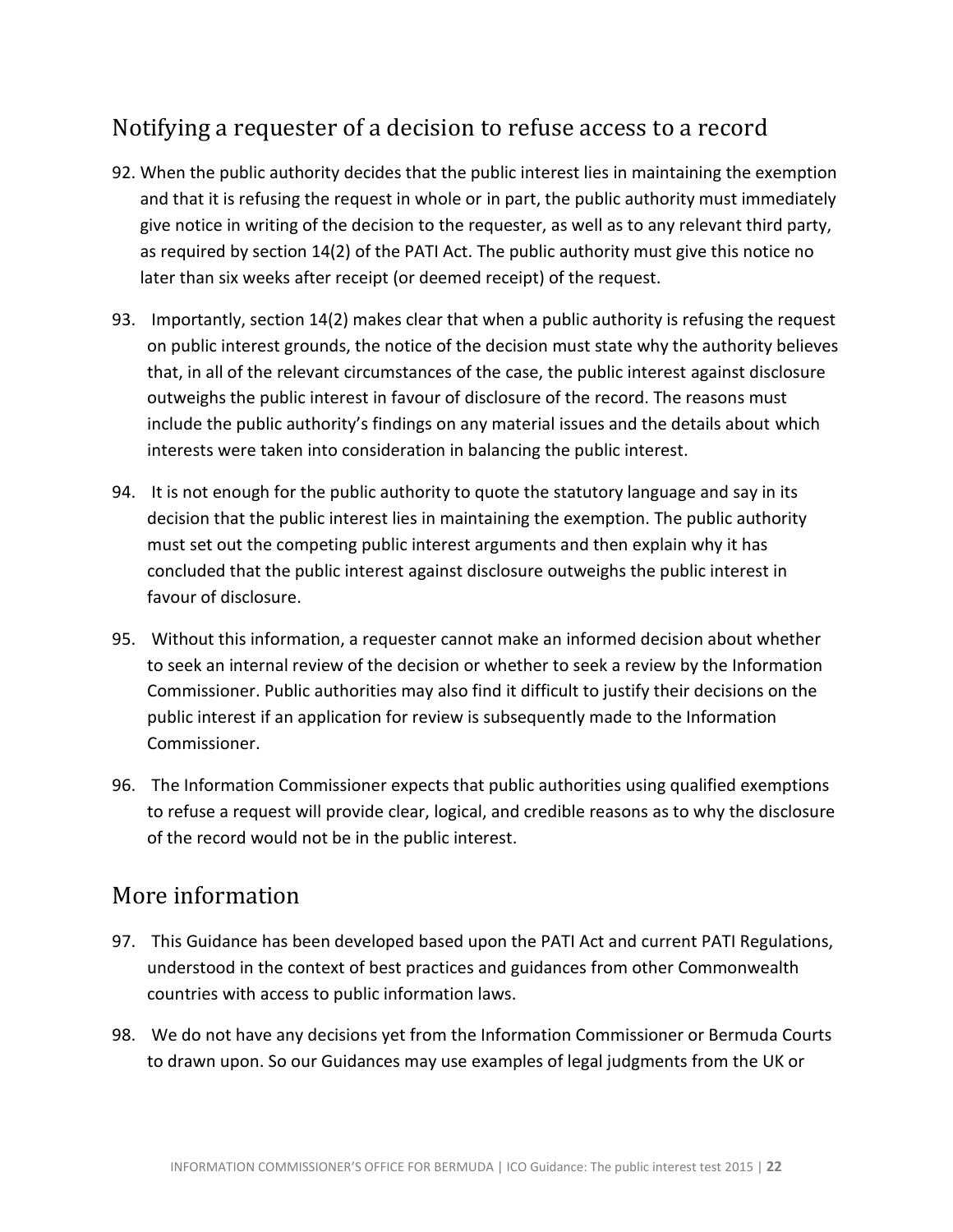# <span id="page-21-0"></span>Notifying a requester of a decision to refuse access to a record

- 92. When the public authority decides that the public interest lies in maintaining the exemption and that it is refusing the request in whole or in part, the public authority must immediately give notice in writing of the decision to the requester, as well as to any relevant third party, as required by section 14(2) of the PATI Act. The public authority must give this notice no later than six weeks after receipt (or deemed receipt) of the request.
- 93. Importantly, section 14(2) makes clear that when a public authority is refusing the request on public interest grounds, the notice of the decision must state why the authority believes that, in all of the relevant circumstances of the case, the public interest against disclosure outweighs the public interest in favour of disclosure of the record. The reasons must include the public authority's findings on any material issues and the details about which interests were taken into consideration in balancing the public interest.
- 94. It is not enough for the public authority to quote the statutory language and say in its decision that the public interest lies in maintaining the exemption. The public authority must set out the competing public interest arguments and then explain why it has concluded that the public interest against disclosure outweighs the public interest in favour of disclosure.
- 95. Without this information, a requester cannot make an informed decision about whether to seek an internal review of the decision or whether to seek a review by the Information Commissioner. Public authorities may also find it difficult to justify their decisions on the public interest if an application for review is subsequently made to the Information Commissioner.
- 96. The Information Commissioner expects that public authorities using qualified exemptions to refuse a request will provide clear, logical, and credible reasons as to why the disclosure of the record would not be in the public interest.

### <span id="page-21-1"></span>More information

- 97. This Guidance has been developed based upon the PATI Act and current PATI Regulations, understood in the context of best practices and guidances from other Commonwealth countries with access to public information laws.
- 98. We do not have any decisions yet from the Information Commissioner or Bermuda Courts to drawn upon. So our Guidances may use examples of legal judgments from the UK or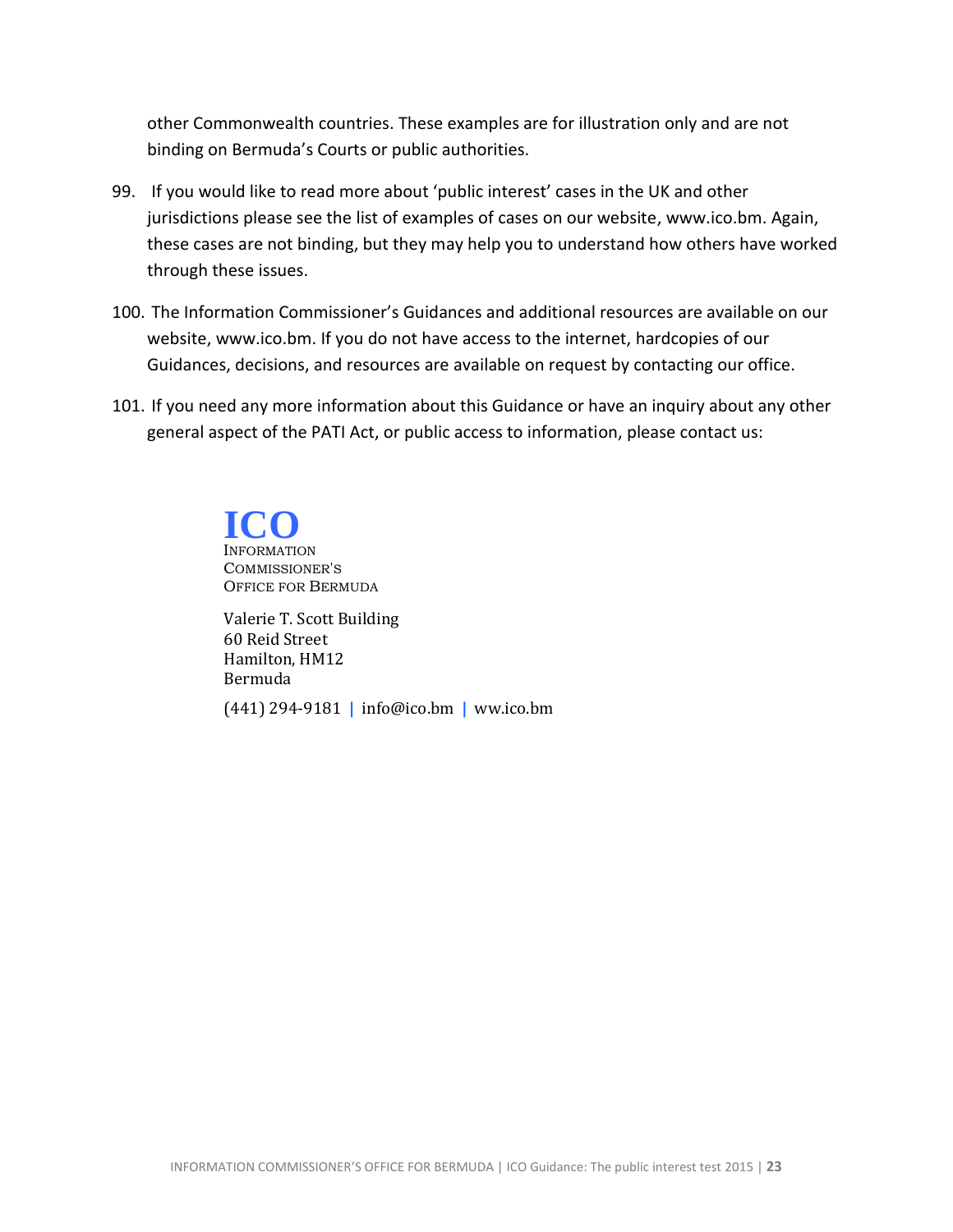other Commonwealth countries. These examples are for illustration only and are not binding on Bermuda's Courts or public authorities.

- 99. If you would like to read more about 'public interest' cases in the UK and other jurisdictions please see the list of examples of cases on our website, [www.ico.bm.](http://www.ico.bm/) Again, these cases are not binding, but they may help you to understand how others have worked through these issues.
- 100. The Information Commissioner's Guidances and additional resources are available on our website, [www.ico.bm.](http://www.ico.bm/) If you do not have access to the internet, hardcopies of our Guidances, decisions, and resources are available on request by contacting our office.
- 101. If you need any more information about this Guidance or have an inquiry about any other general aspect of the PATI Act, or public access to information, please contact us:

INFORMATION COMMISSIONER'S OFFICE FOR BERMUDA **ICO**

<span id="page-22-0"></span>Valerie T. Scott Building 60 Reid Street Hamilton, HM12 Bermuda (441) 294-9181 **|** info@ico.bm **|** ww.ico.bm